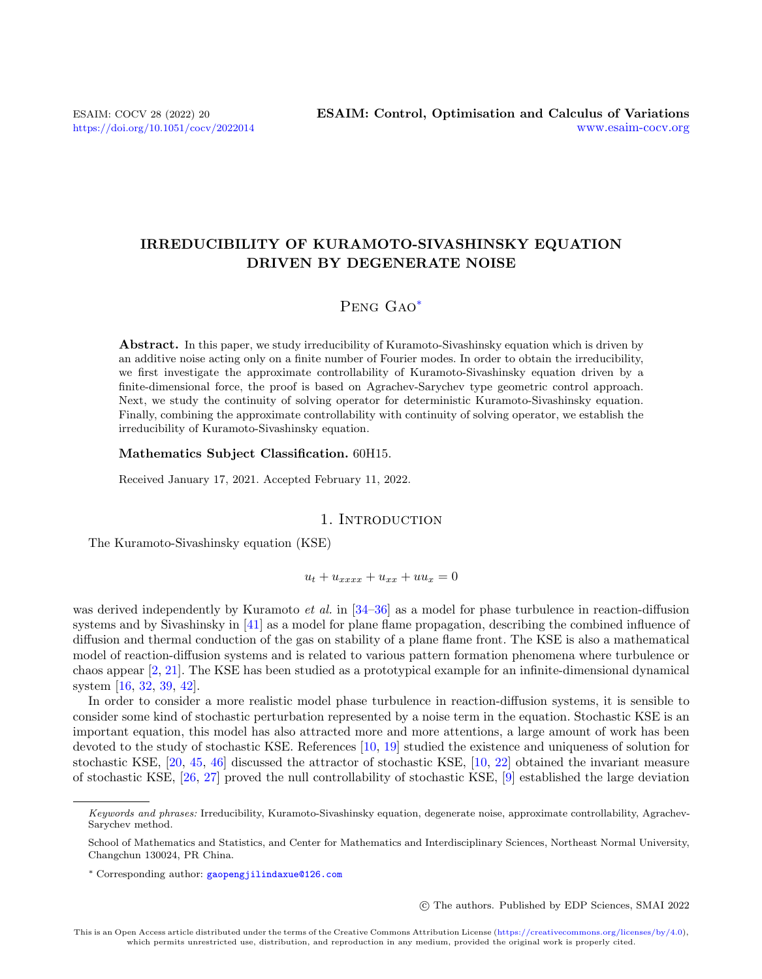# IRREDUCIBILITY OF KURAMOTO-SIVASHINSKY EQUATION DRIVEN BY DEGENERATE NOISE

# Peng Gao[\\*](#page-0-0)

Abstract. In this paper, we study irreducibility of Kuramoto-Sivashinsky equation which is driven by an additive noise acting only on a finite number of Fourier modes. In order to obtain the irreducibility, we first investigate the approximate controllability of Kuramoto-Sivashinsky equation driven by a finite-dimensional force, the proof is based on Agrachev-Sarychev type geometric control approach. Next, we study the continuity of solving operator for deterministic Kuramoto-Sivashinsky equation. Finally, combining the approximate controllability with continuity of solving operator, we establish the irreducibility of Kuramoto-Sivashinsky equation.

#### Mathematics Subject Classification. 60H15.

Received January 17, 2021. Accepted February 11, 2022.

## 1. INTRODUCTION

The Kuramoto-Sivashinsky equation (KSE)

 $u_t + u_{xxxx} + u_{xx} + uu_x = 0$ 

was derived independently by Kuramoto *et al.* in [\[34–](#page-20-0)[36\]](#page-20-1) as a model for phase turbulence in reaction-diffusion systems and by Sivashinsky in [\[41\]](#page-21-0) as a model for plane flame propagation, describing the combined influence of diffusion and thermal conduction of the gas on stability of a plane flame front. The KSE is also a mathematical model of reaction-diffusion systems and is related to various pattern formation phenomena where turbulence or chaos appear [\[2,](#page-19-0) [21\]](#page-20-2). The KSE has been studied as a prototypical example for an infinite-dimensional dynamical system [\[16,](#page-20-3) [32,](#page-20-4) [39,](#page-20-5) [42\]](#page-21-1).

In order to consider a more realistic model phase turbulence in reaction-diffusion systems, it is sensible to consider some kind of stochastic perturbation represented by a noise term in the equation. Stochastic KSE is an important equation, this model has also attracted more and more attentions, a large amount of work has been devoted to the study of stochastic KSE. References [\[10,](#page-20-6) [19\]](#page-20-7) studied the existence and uniqueness of solution for stochastic KSE, [\[20,](#page-20-8) [45,](#page-21-2) [46\]](#page-21-3) discussed the attractor of stochastic KSE, [\[10,](#page-20-6) [22\]](#page-20-9) obtained the invariant measure of stochastic KSE, [\[26,](#page-20-10) [27\]](#page-20-11) proved the null controllability of stochastic KSE, [\[9\]](#page-20-12) established the large deviation

c The authors. Published by EDP Sciences, SMAI 2022

<span id="page-0-0"></span>Keywords and phrases: Irreducibility, Kuramoto-Sivashinsky equation, degenerate noise, approximate controllability, Agrachev-Sarychev method.

School of Mathematics and Statistics, and Center for Mathematics and Interdisciplinary Sciences, Northeast Normal University, Changchun 130024, PR China.

<sup>\*</sup> Corresponding author: [gaopengjilindaxue@126.com](mailto:gaopengjilindaxue@126.com)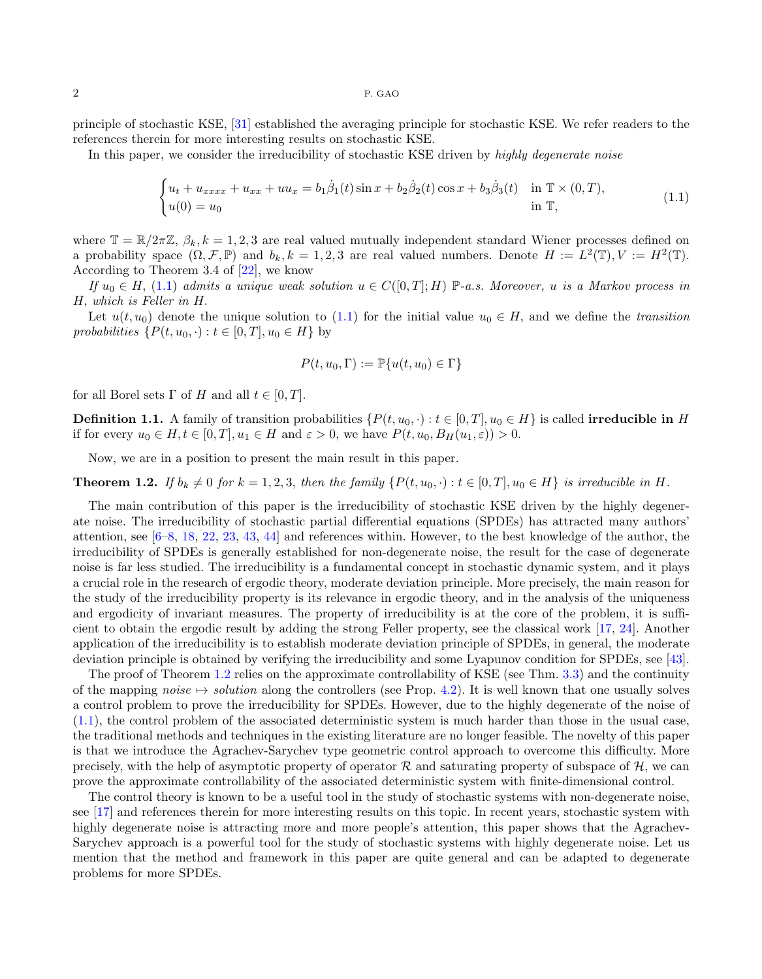principle of stochastic KSE, [\[31\]](#page-20-13) established the averaging principle for stochastic KSE. We refer readers to the references therein for more interesting results on stochastic KSE.

In this paper, we consider the irreducibility of stochastic KSE driven by highly degenerate noise

<span id="page-1-0"></span>
$$
\begin{cases} u_t + u_{xxxx} + u_{xx} + uu_x = b_1 \dot{\beta}_1(t) \sin x + b_2 \dot{\beta}_2(t) \cos x + b_3 \dot{\beta}_3(t) & \text{in } \mathbb{T} \times (0, T), \\ u(0) = u_0 & \text{in } \mathbb{T}, \end{cases}
$$
(1.1)

where  $\mathbb{T} = \mathbb{R}/2\pi\mathbb{Z}$ ,  $\beta_k$ ,  $k = 1, 2, 3$  are real valued mutually independent standard Wiener processes defined on a probability space  $(\Omega, \mathcal{F}, \mathbb{P})$  and  $b_k, k = 1, 2, 3$  are real valued numbers. Denote  $H := L^2(\mathbb{T}), V := H^2(\mathbb{T})$ . According to Theorem 3.4 of [\[22\]](#page-20-9), we know

If  $u_0 \in H$ , [\(1.1\)](#page-1-0) admits a unique weak solution  $u \in C([0,T];H) \mathbb{P}$ -a.s. Moreover, u is a Markov process in H, which is Feller in H.

Let  $u(t, u_0)$  denote the unique solution to [\(1.1\)](#page-1-0) for the initial value  $u_0 \in H$ , and we define the transition probabilities  $\{P(t, u_0, \cdot) : t \in [0, T], u_0 \in H\}$  by

$$
P(t, u_0, \Gamma) := \mathbb{P}\{u(t, u_0) \in \Gamma\}
$$

for all Borel sets  $\Gamma$  of H and all  $t \in [0, T]$ .

**Definition 1.1.** A family of transition probabilities  $\{P(t, u_0, \cdot) : t \in [0, T], u_0 \in H\}$  is called **irreducible in** H if for every  $u_0 \in H, t \in [0, T], u_1 \in H$  and  $\varepsilon > 0$ , we have  $P(t, u_0, B_H(u_1, \varepsilon)) > 0$ .

Now, we are in a position to present the main result in this paper.

## <span id="page-1-1"></span>**Theorem 1.2.** If  $b_k \neq 0$  for  $k = 1, 2, 3$ , then the family  $\{P(t, u_0, \cdot) : t \in [0, T], u_0 \in H\}$  is irreducible in H.

The main contribution of this paper is the irreducibility of stochastic KSE driven by the highly degenerate noise. The irreducibility of stochastic partial differential equations (SPDEs) has attracted many authors' attention, see [\[6](#page-19-1)[–8,](#page-20-14) [18,](#page-20-15) [22,](#page-20-9) [23,](#page-20-16) [43,](#page-21-4) [44\]](#page-21-5) and references within. However, to the best knowledge of the author, the irreducibility of SPDEs is generally established for non-degenerate noise, the result for the case of degenerate noise is far less studied. The irreducibility is a fundamental concept in stochastic dynamic system, and it plays a crucial role in the research of ergodic theory, moderate deviation principle. More precisely, the main reason for the study of the irreducibility property is its relevance in ergodic theory, and in the analysis of the uniqueness and ergodicity of invariant measures. The property of irreducibility is at the core of the problem, it is sufficient to obtain the ergodic result by adding the strong Feller property, see the classical work [\[17,](#page-20-17) [24\]](#page-20-18). Another application of the irreducibility is to establish moderate deviation principle of SPDEs, in general, the moderate deviation principle is obtained by verifying the irreducibility and some Lyapunov condition for SPDEs, see [\[43\]](#page-21-4).

The proof of Theorem [1.2](#page-1-1) relies on the approximate controllability of KSE (see Thm. [3.3\)](#page-3-0) and the continuity of the mapping noise  $\mapsto$  solution along the controllers (see Prop. [4.2\)](#page-16-0). It is well known that one usually solves a control problem to prove the irreducibility for SPDEs. However, due to the highly degenerate of the noise of [\(1.1\)](#page-1-0), the control problem of the associated deterministic system is much harder than those in the usual case, the traditional methods and techniques in the existing literature are no longer feasible. The novelty of this paper is that we introduce the Agrachev-Sarychev type geometric control approach to overcome this difficulty. More precisely, with the help of asymptotic property of operator  $\mathcal R$  and saturating property of subspace of  $\mathcal H$ , we can prove the approximate controllability of the associated deterministic system with finite-dimensional control.

The control theory is known to be a useful tool in the study of stochastic systems with non-degenerate noise, see [\[17\]](#page-20-17) and references therein for more interesting results on this topic. In recent years, stochastic system with highly degenerate noise is attracting more and more people's attention, this paper shows that the Agrachev-Sarychev approach is a powerful tool for the study of stochastic systems with highly degenerate noise. Let us mention that the method and framework in this paper are quite general and can be adapted to degenerate problems for more SPDEs.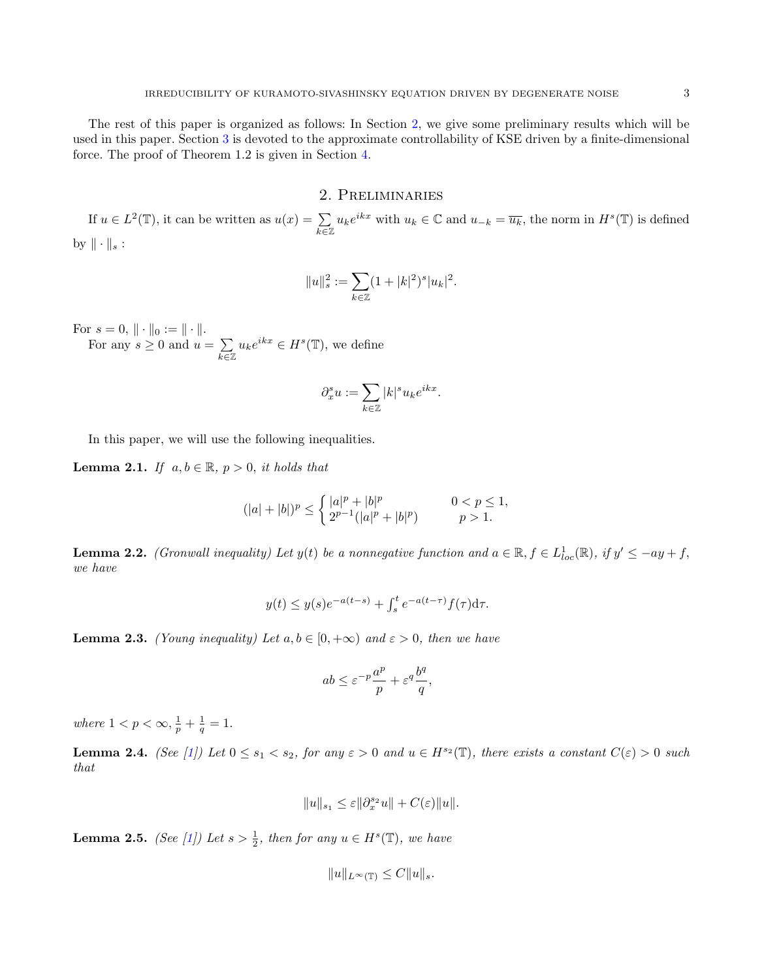The rest of this paper is organized as follows: In Section [2,](#page-2-0) we give some preliminary results which will be used in this paper. Section [3](#page-3-1) is devoted to the approximate controllability of KSE driven by a finite-dimensional force. The proof of Theorem 1.2 is given in Section [4.](#page-14-0)

## 2. Preliminaries

<span id="page-2-0"></span>If  $u \in L^2(\mathbb{T})$ , it can be written as  $u(x) = \sum$  $\sum_{k\in\mathbb{Z}} u_k e^{ikx}$  with  $u_k \in \mathbb{C}$  and  $u_{-k} = \overline{u_k}$ , the norm in  $H^s(\mathbb{T})$  is defined by  $\|\cdot\|_s$ :

$$
||u||_s^2 := \sum_{k \in \mathbb{Z}} (1+|k|^2)^s |u_k|^2.
$$

For  $s = 0, \| \cdot \|_0 := \| \cdot \|$ .

For any  $s \geq 0$  and  $u = \sum$  $\sum_{k\in\mathbb{Z}} u_k e^{ikx} \in H^s(\mathbb{T})$ , we define

$$
\partial_x^s u := \sum_{k \in \mathbb{Z}} |k|^s u_k e^{ikx}.
$$

In this paper, we will use the following inequalities.

**Lemma 2.1.** If  $a, b \in \mathbb{R}$ ,  $p > 0$ , it holds that

$$
(|a|+|b|)^p \le \begin{cases} |a|^p + |b|^p & 0 < p \le 1, \\ 2^{p-1}(|a|^p + |b|^p) & p > 1. \end{cases}
$$

**Lemma 2.2.** (Gronwall inequality) Let  $y(t)$  be a nonnegative function and  $a \in \mathbb{R}$ ,  $f \in L^{1}_{loc}(\mathbb{R})$ , if  $y' \leq -ay + f$ , we have

$$
y(t) \le y(s)e^{-a(t-s)} + \int_s^t e^{-a(t-\tau)}f(\tau)d\tau.
$$

<span id="page-2-1"></span>**Lemma 2.3.** (Young inequality) Let  $a, b \in [0, +\infty)$  and  $\varepsilon > 0$ , then we have

$$
ab \le \varepsilon^{-p} \frac{a^p}{p} + \varepsilon^q \frac{b^q}{q},
$$

where  $1 < p < \infty$ ,  $\frac{1}{p} + \frac{1}{q} = 1$ .

<span id="page-2-2"></span>**Lemma 2.4.** (See [\[1\]](#page-19-2)) Let  $0 \le s_1 < s_2$ , for any  $\varepsilon > 0$  and  $u \in H^{s_2}(\mathbb{T})$ , there exists a constant  $C(\varepsilon) > 0$  such that

$$
||u||_{s_1}\leq \varepsilon ||\partial_x^{s_2} u||+C(\varepsilon)||u||.
$$

**Lemma 2.5.** (See [\[1\]](#page-19-2)) Let  $s > \frac{1}{2}$ , then for any  $u \in H^s(\mathbb{T})$ , we have

 $||u||_{L^{\infty}(\mathbb{T})} \leq C||u||_{s}.$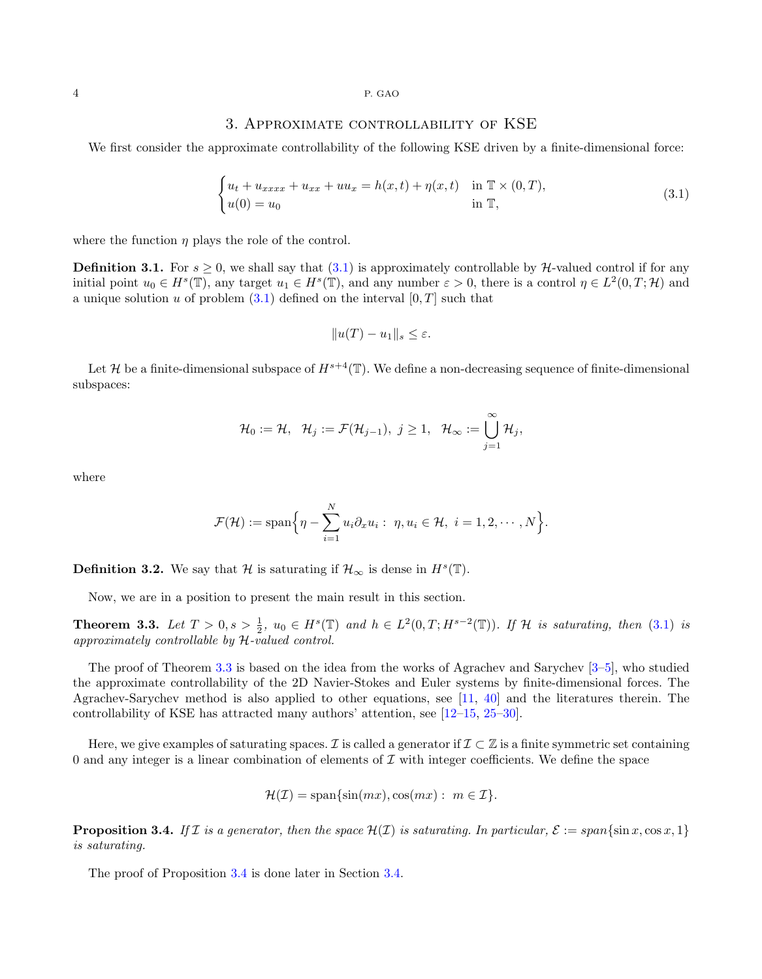#### 3. Approximate controllability of KSE

<span id="page-3-1"></span>We first consider the approximate controllability of the following KSE driven by a finite-dimensional force:

<span id="page-3-2"></span>
$$
\begin{cases} u_t + u_{xxxx} + u_{xx} + uu_x = h(x, t) + \eta(x, t) & \text{in } \mathbb{T} \times (0, T), \\ u(0) = u_0 & \text{in } \mathbb{T}, \end{cases}
$$
 (3.1)

where the function  $\eta$  plays the role of the control.

**Definition 3.1.** For  $s > 0$ , we shall say that  $(3.1)$  is approximately controllable by H-valued control if for any initial point  $u_0 \in H^s(\mathbb{T})$ , any target  $u_1 \in H^s(\mathbb{T})$ , and any number  $\varepsilon > 0$ , there is a control  $\eta \in L^2(0,T;\mathcal{H})$  and a unique solution u of problem  $(3.1)$  defined on the interval  $[0, T]$  such that

$$
||u(T) - u_1||_s \le \varepsilon.
$$

Let H be a finite-dimensional subspace of  $H^{s+4}(\mathbb{T})$ . We define a non-decreasing sequence of finite-dimensional subspaces:

$$
\mathcal{H}_0:=\mathcal{H},\;\; \mathcal{H}_j:=\mathcal{F}(\mathcal{H}_{j-1}),\;j\geq 1,\;\; \mathcal{H}_{\infty}:=\bigcup_{j=1}^{\infty}\mathcal{H}_j,
$$

where

$$
\mathcal{F}(\mathcal{H}) := \mathrm{span}\Big\{\eta - \sum_{i=1}^N u_i \partial_x u_i: \ \eta, u_i \in \mathcal{H}, \ i = 1, 2, \cdots, N\Big\}.
$$

**Definition 3.2.** We say that  $\mathcal{H}$  is saturating if  $\mathcal{H}_{\infty}$  is dense in  $H^{s}(\mathbb{T})$ .

Now, we are in a position to present the main result in this section.

<span id="page-3-0"></span>**Theorem 3.3.** Let  $T > 0$ ,  $s > \frac{1}{2}$ ,  $u_0 \in H^s(\mathbb{T})$  and  $h \in L^2(0,T;H^{s-2}(\mathbb{T}))$ . If H is saturating, then [\(3.1\)](#page-3-2) is approximately controllable by H-valued control.

The proof of Theorem [3.3](#page-3-0) is based on the idea from the works of Agrachev and Sarychev [\[3](#page-19-3)[–5\]](#page-19-4), who studied the approximate controllability of the 2D Navier-Stokes and Euler systems by finite-dimensional forces. The Agrachev-Sarychev method is also applied to other equations, see [\[11,](#page-20-19) [40\]](#page-20-20) and the literatures therein. The controllability of KSE has attracted many authors' attention, see [\[12–](#page-20-21)[15,](#page-20-22) [25–](#page-20-23)[30\]](#page-20-24).

Here, we give examples of saturating spaces. I is called a generator if  $\mathcal{I} \subset \mathbb{Z}$  is a finite symmetric set containing 0 and any integer is a linear combination of elements of  $\mathcal I$  with integer coefficients. We define the space

$$
\mathcal{H}(\mathcal{I}) = \text{span}\{\sin(mx), \cos(mx) : m \in \mathcal{I}\}.
$$

<span id="page-3-3"></span>**Proposition 3.4.** If I is a generator, then the space  $\mathcal{H}(I)$  is saturating. In particular,  $\mathcal{E} := span\{\sin x, \cos x, 1\}$ is saturating.

The proof of Proposition [3.4](#page-3-3) is done later in Section [3.4.](#page-12-0)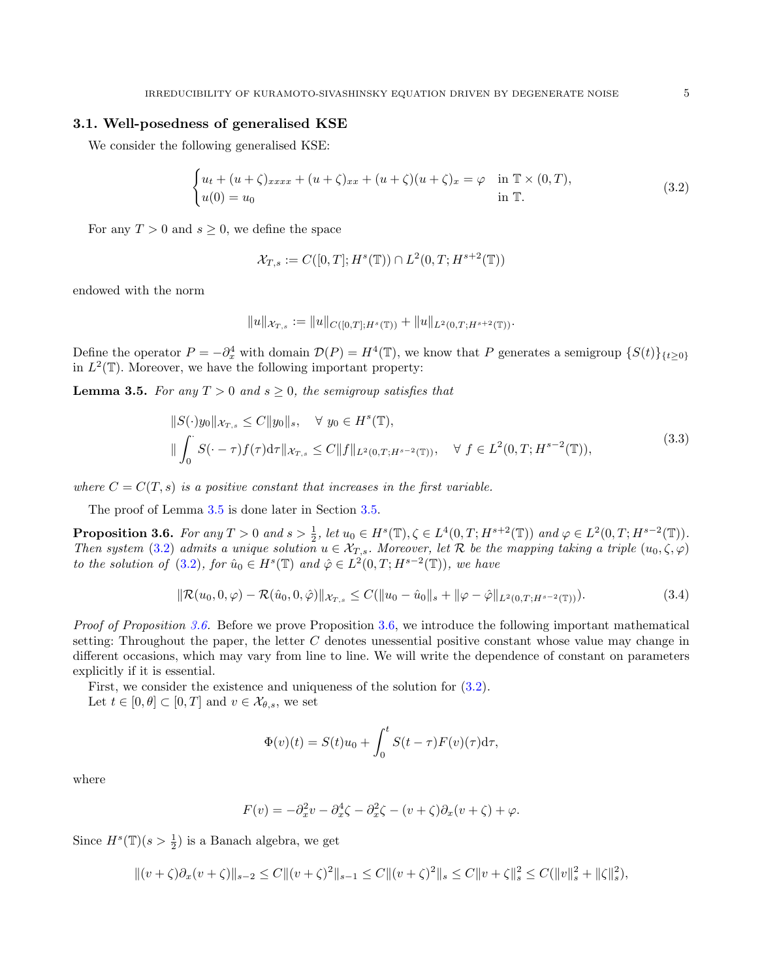#### 3.1. Well-posedness of generalised KSE

We consider the following generalised KSE:

<span id="page-4-1"></span>
$$
\begin{cases} u_t + (u+\zeta)_{xxxx} + (u+\zeta)_{xx} + (u+\zeta)(u+\zeta)_x = \varphi & \text{in } \mathbb{T} \times (0,T), \\ u(0) = u_0 & \text{in } \mathbb{T}. \end{cases} \tag{3.2}
$$

For any  $T > 0$  and  $s \geq 0$ , we define the space

$$
\mathcal{X}_{T,s} := C([0,T];H^s(\mathbb{T})) \cap L^2(0,T;H^{s+2}(\mathbb{T}))
$$

endowed with the norm

$$
||u||_{\mathcal{X}_{T,s}} := ||u||_{C([0,T];H^s(\mathbb{T}))} + ||u||_{L^2(0,T;H^{s+2}(\mathbb{T}))}.
$$

Define the operator  $P = -\partial_x^4$  with domain  $\mathcal{D}(P) = H^4(\mathbb{T})$ , we know that P generates a semigroup  $\{S(t)\}_{\{t \geq 0\}}$ in  $L^2(\mathbb{T})$ . Moreover, we have the following important property:

<span id="page-4-3"></span><span id="page-4-0"></span>**Lemma 3.5.** For any  $T > 0$  and  $s \geq 0$ , the semigroup satisfies that

$$
||S(\cdot)y_0||_{\mathcal{X}_{T,s}} \le C||y_0||_s, \quad \forall \ y_0 \in H^s(\mathbb{T}),
$$
  

$$
||\int_0^{\cdot} S(\cdot - \tau) f(\tau) d\tau||_{\mathcal{X}_{T,s}} \le C||f||_{L^2(0,T;H^{s-2}(\mathbb{T}))}, \quad \forall \ f \in L^2(0,T;H^{s-2}(\mathbb{T})),
$$
\n(3.3)

where  $C = C(T, s)$  is a positive constant that increases in the first variable.

The proof of Lemma [3.5](#page-4-0) is done later in Section [3.5.](#page-14-1)

<span id="page-4-2"></span>**Proposition 3.6.** For any  $T > 0$  and  $s > \frac{1}{2}$ , let  $u_0 \in H^s(\mathbb{T}), \zeta \in L^4(0,T;H^{s+2}(\mathbb{T}))$  and  $\varphi \in L^2(0,T;H^{s-2}(\mathbb{T}))$ . Then system [\(3.2\)](#page-4-1) admits a unique solution  $u \in \mathcal{X}_{T,s}$ . Moreover, let R be the mapping taking a triple  $(u_0,\zeta,\varphi)$ to the solution of [\(3.2\)](#page-4-1), for  $\hat{u}_0 \in H^s(\mathbb{T})$  and  $\hat{\varphi} \in L^2(0,T;H^{s-2}(\mathbb{T}))$ , we have

<span id="page-4-4"></span>
$$
\|\mathcal{R}(u_0, 0, \varphi) - \mathcal{R}(\hat{u}_0, 0, \hat{\varphi})\|_{\mathcal{X}_{T,s}} \le C(\|u_0 - \hat{u}_0\|_s + \|\varphi - \hat{\varphi}\|_{L^2(0,T;H^{s-2}(\mathbb{T}))}).
$$
\n(3.4)

Proof of Proposition [3.6.](#page-4-2) Before we prove Proposition [3.6,](#page-4-2) we introduce the following important mathematical setting: Throughout the paper, the letter  $C$  denotes unessential positive constant whose value may change in different occasions, which may vary from line to line. We will write the dependence of constant on parameters explicitly if it is essential.

First, we consider the existence and uniqueness of the solution for [\(3.2\)](#page-4-1). Let  $t \in [0, \theta] \subset [0, T]$  and  $v \in \mathcal{X}_{\theta, s}$ , we set

$$
\Phi(v)(t) = S(t)u_0 + \int_0^t S(t-\tau)F(v)(\tau)d\tau,
$$

where

$$
F(v) = -\partial_x^2 v - \partial_x^4 \zeta - \partial_x^2 \zeta - (v + \zeta)\partial_x (v + \zeta) + \varphi.
$$

Since  $H^s(\mathbb{T})(s > \frac{1}{2})$  is a Banach algebra, we get

 $||(v+\zeta)\partial_x(v+\zeta)||_{s-2} \leq C||(v+\zeta)^2||_{s-1} \leq C||(v+\zeta)^2||_s \leq C||v+\zeta||_s^2 \leq C(||v||_s^2 + ||\zeta||_s^2),$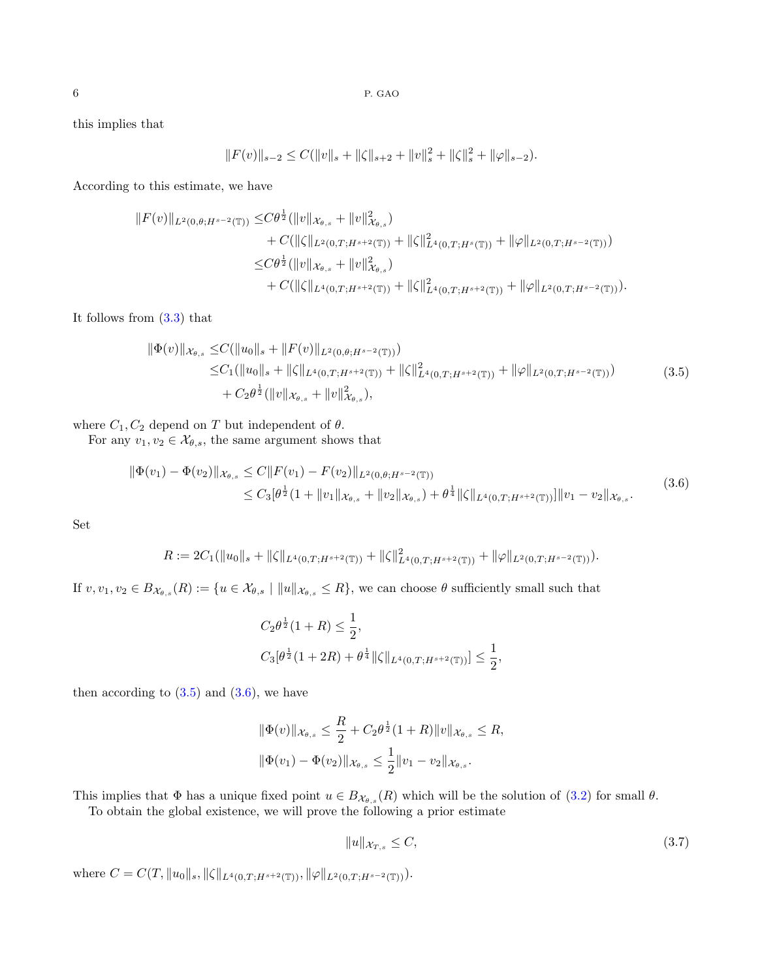this implies that

$$
||F(v)||_{s-2} \leq C(||v||_s + ||\zeta||_{s+2} + ||v||_s^2 + ||\zeta||_s^2 + ||\varphi||_{s-2}).
$$

According to this estimate, we have

$$
||F(v)||_{L^{2}(0,\theta;H^{s-2}(\mathbb{T}))} \leq C\theta^{\frac{1}{2}}(||v||_{\mathcal{X}_{\theta,s}} + ||v||^{2}_{\mathcal{X}_{\theta,s}}) + C(||\zeta||_{L^{2}(0,T;H^{s+2}(\mathbb{T}))} + ||\zeta||^{2}_{L^{4}(0,T;H^{s}(\mathbb{T}))} + ||\varphi||_{L^{2}(0,T;H^{s-2}(\mathbb{T}))}) \leq C\theta^{\frac{1}{2}}(||v||_{\mathcal{X}_{\theta,s}} + ||v||^{2}_{\mathcal{X}_{\theta,s}}) + C(||\zeta||_{L^{4}(0,T;H^{s+2}(\mathbb{T}))} + ||\zeta||^{2}_{L^{4}(0,T;H^{s+2}(\mathbb{T}))} + ||\varphi||_{L^{2}(0,T;H^{s-2}(\mathbb{T}))}).
$$

<span id="page-5-0"></span>It follows from [\(3.3\)](#page-4-3) that

$$
\begin{split} \|\Phi(v)\|_{\mathcal{X}_{\theta,s}} &\leq & C(\|u_0\|_s + \|F(v)\|_{L^2(0,\theta;H^{s-2}(\mathbb{T}))}) \\ &\leq & C_1(\|u_0\|_s + \|\zeta\|_{L^4(0,T;H^{s+2}(\mathbb{T}))} + \|\zeta\|_{L^4(0,T;H^{s+2}(\mathbb{T}))}^2 + \|\varphi\|_{L^2(0,T;H^{s-2}(\mathbb{T}))}) \\ &\quad + C_2\theta^{\frac{1}{2}}(\|v\|_{\mathcal{X}_{\theta,s}} + \|v\|_{\mathcal{X}_{\theta,s}}^2), \end{split} \tag{3.5}
$$

where  $C_1, C_2$  depend on T but independent of  $\theta$ .

<span id="page-5-1"></span>For any  $v_1, v_2 \in \mathcal{X}_{\theta,s}$ , the same argument shows that

$$
\begin{split} \|\Phi(v_1) - \Phi(v_2)\|_{\mathcal{X}_{\theta,s}} &\leq C \|F(v_1) - F(v_2)\|_{L^2(0,\theta;H^{s-2}(\mathbb{T}))} \\ &\leq C_3 [\theta^{\frac{1}{2}}(1 + \|v_1\|_{\mathcal{X}_{\theta,s}} + \|v_2\|_{\mathcal{X}_{\theta,s}}) + \theta^{\frac{1}{4}} \|\zeta\|_{L^4(0,T;H^{s+2}(\mathbb{T}))}]\|v_1 - v_2\|_{\mathcal{X}_{\theta,s}}. \end{split} \tag{3.6}
$$

Set

$$
R := 2C_1(\|u_0\|_s + \|\zeta\|_{L^4(0,T;H^{s+2}(\mathbb{T}))} + \|\zeta\|_{L^4(0,T;H^{s+2}(\mathbb{T}))}^2 + \|\varphi\|_{L^2(0,T;H^{s-2}(\mathbb{T}))}).
$$

If  $v, v_1, v_2 \in B_{\mathcal{X}_{\theta,s}}(R) := \{u \in \mathcal{X}_{\theta,s} \mid ||u||_{\mathcal{X}_{\theta,s}} \leq R\}$ , we can choose  $\theta$  sufficiently small such that

$$
C_2 \theta^{\frac{1}{2}} (1+R) \le \frac{1}{2},
$$
  

$$
C_3[\theta^{\frac{1}{2}} (1+2R) + \theta^{\frac{1}{4}} ||\zeta||_{L^4(0,T;H^{s+2}(\mathbb{T}))}] \le \frac{1}{2},
$$

then according to  $(3.5)$  and  $(3.6)$ , we have

$$
\|\Phi(v)\|_{\mathcal{X}_{\theta,s}} \leq \frac{R}{2} + C_2 \theta^{\frac{1}{2}} (1+R) \|v\|_{\mathcal{X}_{\theta,s}} \leq R,
$$
  

$$
\|\Phi(v_1) - \Phi(v_2)\|_{\mathcal{X}_{\theta,s}} \leq \frac{1}{2} \|v_1 - v_2\|_{\mathcal{X}_{\theta,s}}.
$$

This implies that  $\Phi$  has a unique fixed point  $u \in B_{\mathcal{X}_{\theta,s}}(R)$  which will be the solution of [\(3.2\)](#page-4-1) for small  $\theta$ .

To obtain the global existence, we will prove the following a prior estimate

<span id="page-5-2"></span>
$$
||u||_{\mathcal{X}_{T,s}} \le C,\tag{3.7}
$$

where  $C = C(T, ||u_0||_s, ||\zeta||_{L^4(0,T;H^{s+2}(\mathbb{T}))}, ||\varphi||_{L^2(0,T;H^{s-2}(\mathbb{T}))}).$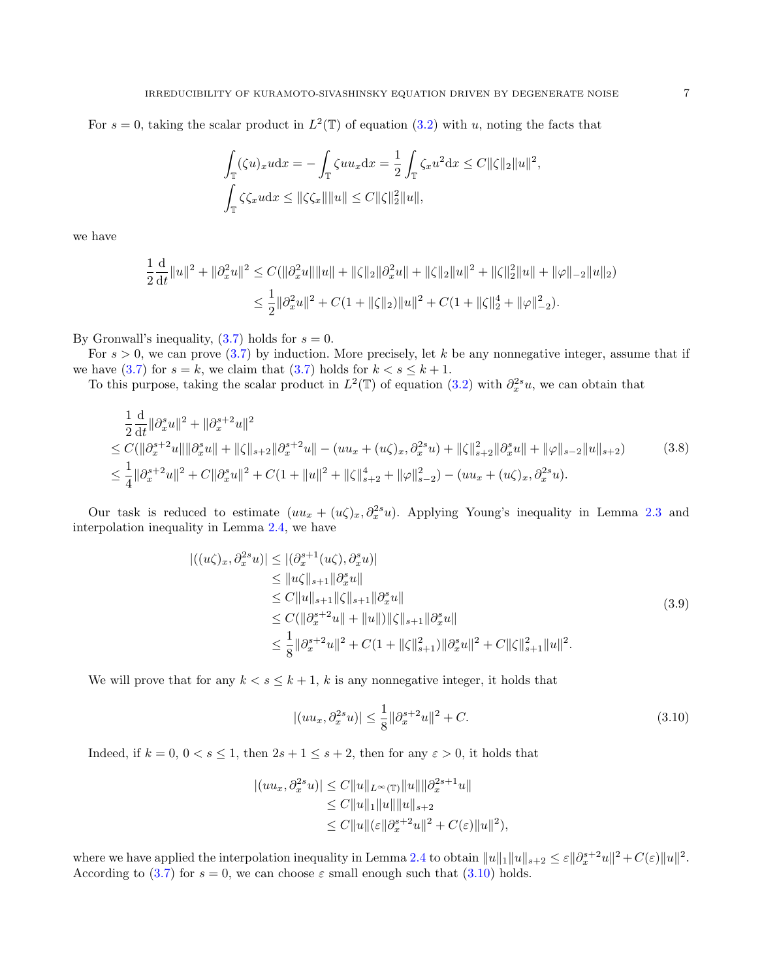For  $s = 0$ , taking the scalar product in  $L^2(\mathbb{T})$  of equation [\(3.2\)](#page-4-1) with u, noting the facts that

$$
\int_{\mathbb{T}} (\zeta u)_x u \mathrm{d}x = -\int_{\mathbb{T}} \zeta u u_x \mathrm{d}x = \frac{1}{2} \int_{\mathbb{T}} \zeta_x u^2 \mathrm{d}x \le C ||\zeta||_2 ||u||^2,
$$
  

$$
\int_{\mathbb{T}} \zeta \zeta_x u \mathrm{d}x \le ||\zeta \zeta_x|| ||u|| \le C ||\zeta||_2^2 ||u||,
$$

we have

$$
\frac{1}{2}\frac{\mathrm{d}}{\mathrm{d}t}\|u\|^2 + \|\partial_x^2 u\|^2 \le C(\|\partial_x^2 u\|\|u\| + \|\zeta\|_2 \|\partial_x^2 u\| + \|\zeta\|_2 \|u\|^2 + \|\zeta\|_2^2 \|u\| + \|\varphi\|_{-2} \|u\|_2)
$$
  

$$
\le \frac{1}{2}\|\partial_x^2 u\|^2 + C(1 + \|\zeta\|_2) \|u\|^2 + C(1 + \|\zeta\|_2^4 + \|\varphi\|_{-2}^2).
$$

By Gronwall's inequality,  $(3.7)$  holds for  $s = 0$ .

For  $s > 0$ , we can prove [\(3.7\)](#page-5-2) by induction. More precisely, let k be any nonnegative integer, assume that if we have [\(3.7\)](#page-5-2) for  $s = k$ , we claim that (3.7) holds for  $k < s \leq k + 1$ .

To this purpose, taking the scalar product in  $L^2(\mathbb{T})$  of equation [\(3.2\)](#page-4-1) with  $\partial_x^{2s}u$ , we can obtain that

<span id="page-6-1"></span>
$$
\frac{1}{2}\frac{d}{dt}\|\partial_x^s u\|^2 + \|\partial_x^{s+2} u\|^2
$$
\n
$$
\leq C(\|\partial_x^{s+2} u\| \|\partial_x^s u\| + \|\zeta\|_{s+2} \|\partial_x^{s+2} u\| - (uu_x + (u\zeta)_x, \partial_x^{2s} u) + \|\zeta\|_{s+2}^2 \|\partial_x^s u\| + \|\varphi\|_{s-2} \|u\|_{s+2}) \tag{3.8}
$$
\n
$$
\leq \frac{1}{4} \|\partial_x^{s+2} u\|^2 + C\|\partial_x^s u\|^2 + C(1 + \|u\|^2 + \|\zeta\|_{s+2}^4 + \|\varphi\|_{s-2}^2) - (uu_x + (u\zeta)_x, \partial_x^{2s} u).
$$

Our task is reduced to estimate  $(uu_x + (u\zeta)_x, \partial_x^{2s}u)$ . Applying Young's inequality in Lemma [2.3](#page-2-1) and interpolation inequality in Lemma [2.4,](#page-2-2) we have

$$
\begin{split} |((u\zeta)_x, \partial_x^{2s} u)| &\leq |(\partial_x^{s+1}(u\zeta), \partial_x^s u)| \\ &\leq \|u\zeta\|_{s+1} \|\partial_x^s u\| \\ &\leq C \|u\|_{s+1} \|\zeta\|_{s+1} \|\partial_x^s u\| \\ &\leq C (\|\partial_x^{s+2} u\| + \|u\|) \|\zeta\|_{s+1} \|\partial_x^s u\| \\ &\leq \frac{1}{8} \|\partial_x^{s+2} u\|^2 + C(1 + \|\zeta\|_{s+1}^2) \|\partial_x^s u\|^2 + C \|\zeta\|_{s+1}^2 \|u\|^2. \end{split} \tag{3.9}
$$

We will prove that for any  $k < s \leq k + 1$ , k is any nonnegative integer, it holds that

<span id="page-6-0"></span>
$$
|(uu_x, \partial_x^{2s}u)| \le \frac{1}{8} \|\partial_x^{s+2}u\|^2 + C.
$$
\n(3.10)

Indeed, if  $k = 0, 0 < s \le 1$ , then  $2s + 1 \le s + 2$ , then for any  $\varepsilon > 0$ , it holds that

$$
|(uu_x, \partial_x^{2s}u)| \le C||u||_{L^{\infty}(\mathbb{T})}||u|| ||\partial_x^{2s+1}u||
$$
  
\n
$$
\le C||u||_1 ||u|| ||u||_{s+2}
$$
  
\n
$$
\le C||u||(\varepsilon||\partial_x^{s+2}u||^2 + C(\varepsilon)||u||^2),
$$

where we have applied the interpolation inequality in Lemma [2.4](#page-2-2) to obtain  $||u||_1 ||u||_{s+2} \leq \varepsilon ||\partial_x^{s+2}u||^2 + C(\varepsilon)||u||^2$ . According to [\(3.7\)](#page-5-2) for  $s = 0$ , we can choose  $\varepsilon$  small enough such that [\(3.10\)](#page-6-0) holds.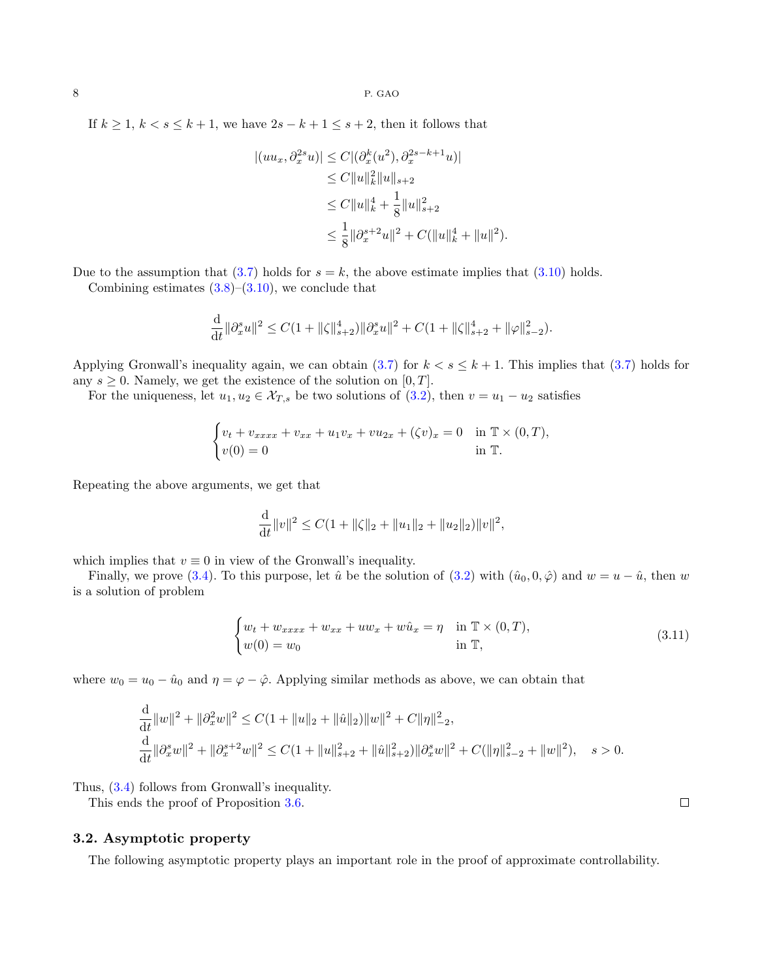If  $k \geq 1$ ,  $k < s \leq k+1$ , we have  $2s - k + 1 \leq s + 2$ , then it follows that

$$
\begin{aligned} |(uu_x, \partial_x^{2s}u)| &\leq C |(\partial_x^k(u^2), \partial_x^{2s-k+1}u)| \\ &\leq C \|u\|_k^2 \|u\|_{s+2} \\ &\leq C \|u\|_k^4 + \frac{1}{8} \|u\|_{s+2}^2 \\ &\leq \frac{1}{8} \|\partial_x^{s+2}u\|^2 + C(\|u\|_k^4 + \|u\|^2). \end{aligned}
$$

Due to the assumption that [\(3.7\)](#page-5-2) holds for  $s = k$ , the above estimate implies that [\(3.10\)](#page-6-0) holds.

Combining estimates  $(3.8)$ – $(3.10)$ , we conclude that

$$
\frac{\mathrm{d}}{\mathrm{d}t} \|\partial_x^s u\|^2 \le C(1 + \|\zeta\|_{s+2}^4) \|\partial_x^s u\|^2 + C(1 + \|\zeta\|_{s+2}^4 + \|\varphi\|_{s-2}^2).
$$

Applying Gronwall's inequality again, we can obtain [\(3.7\)](#page-5-2) for  $k < s \leq k + 1$ . This implies that (3.7) holds for any  $s \geq 0$ . Namely, we get the existence of the solution on [0, T].

For the uniqueness, let  $u_1, u_2 \in \mathcal{X}_{T,s}$  be two solutions of [\(3.2\)](#page-4-1), then  $v = u_1 - u_2$  satisfies

$$
\begin{cases} v_t + v_{xxxx} + v_{xx} + u_1 v_x + v u_{2x} + (\zeta v)_x = 0 & \text{in } \mathbb{T} \times (0, T), \\ v(0) = 0 & \text{in } \mathbb{T}. \end{cases}
$$

Repeating the above arguments, we get that

$$
\frac{\mathrm{d}}{\mathrm{d}t}||v||^2 \leq C(1+||\zeta||_2 + ||u_1||_2 + ||u_2||_2)||v||^2,
$$

which implies that  $v \equiv 0$  in view of the Gronwall's inequality.

Finally, we prove [\(3.4\)](#page-4-4). To this purpose, let  $\hat{u}$  be the solution of [\(3.2\)](#page-4-1) with  $(\hat{u}_0, 0, \hat{\varphi})$  and  $w = u - \hat{u}$ , then w is a solution of problem

$$
\begin{cases} w_t + w_{xxxx} + w_{xx} + uw_x + w\hat{u}_x = \eta & \text{in } \mathbb{T} \times (0, T), \\ w(0) = w_0 & \text{in } \mathbb{T}, \end{cases}
$$
 (3.11)

where  $w_0 = u_0 - \hat{u}_0$  and  $\eta = \varphi - \hat{\varphi}$ . Applying similar methods as above, we can obtain that

$$
\frac{\mathrm{d}}{\mathrm{d}t} \|w\|^2 + \|\partial_x^2 w\|^2 \le C(1 + \|u\|_2 + \|\hat{u}\|_2) \|w\|^2 + C\|\eta\|_{-2}^2,
$$
\n
$$
\frac{\mathrm{d}}{\mathrm{d}t} \|\partial_x^s w\|^2 + \|\partial_x^{s+2} w\|^2 \le C(1 + \|u\|_{s+2}^2 + \|\hat{u}\|_{s+2}^2) \|\partial_x^s w\|^2 + C(\|\eta\|_{s-2}^2 + \|w\|^2), \quad s > 0.
$$

Thus, [\(3.4\)](#page-4-4) follows from Gronwall's inequality.

This ends the proof of Proposition [3.6.](#page-4-2)

#### 3.2. Asymptotic property

The following asymptotic property plays an important role in the proof of approximate controllability.

 $\Box$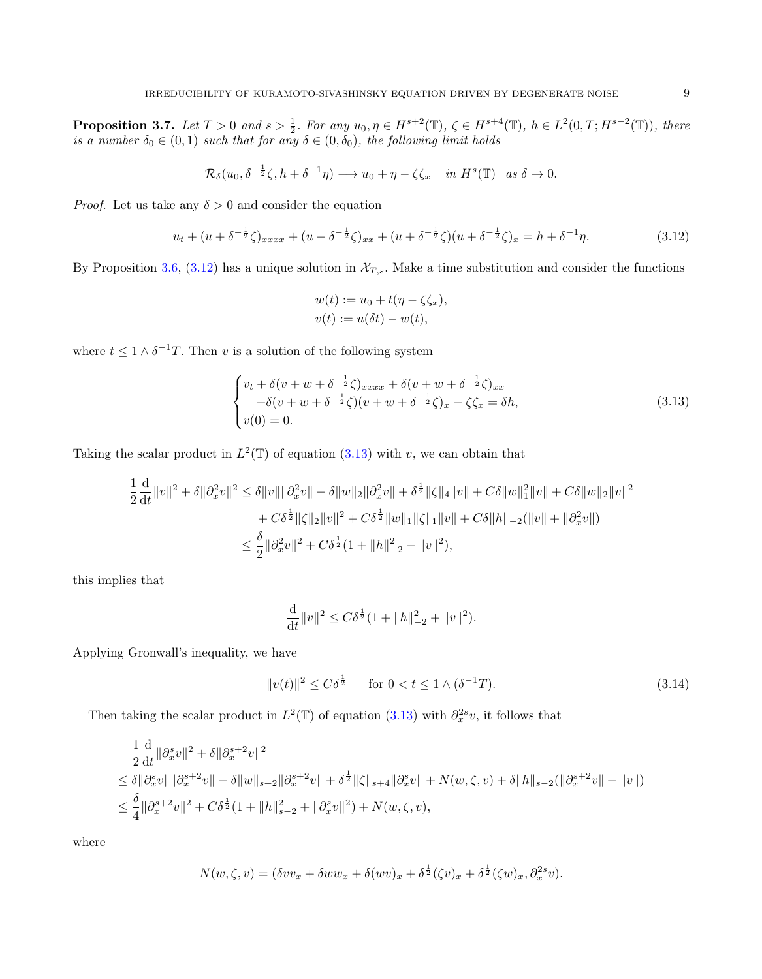<span id="page-8-3"></span>**Proposition 3.7.** Let  $T > 0$  and  $s > \frac{1}{2}$ . For any  $u_0, \eta \in H^{s+2}(\mathbb{T})$ ,  $\zeta \in H^{s+4}(\mathbb{T})$ ,  $h \in L^2(0,T;H^{s-2}(\mathbb{T}))$ , there is a number  $\delta_0 \in (0,1)$  such that for any  $\delta \in (0,\delta_0)$ , the following limit holds

$$
\mathcal{R}_{\delta}(u_0, \delta^{-\frac{1}{2}}\zeta, h+\delta^{-1}\eta) \longrightarrow u_0 + \eta - \zeta \zeta_x \quad in \ H^s(\mathbb{T}) \quad as \ \delta \to 0.
$$

*Proof.* Let us take any  $\delta > 0$  and consider the equation

<span id="page-8-0"></span>
$$
u_t + (u + \delta^{-\frac{1}{2}}\zeta)_{xxxx} + (u + \delta^{-\frac{1}{2}}\zeta)_{xx} + (u + \delta^{-\frac{1}{2}}\zeta)(u + \delta^{-\frac{1}{2}}\zeta)_x = h + \delta^{-1}\eta.
$$
 (3.12)

By Proposition [3.6,](#page-4-2) [\(3.12\)](#page-8-0) has a unique solution in  $\mathcal{X}_{T,s}$ . Make a time substitution and consider the functions

$$
w(t) := u_0 + t(\eta - \zeta \zeta_x),
$$
  

$$
v(t) := u(\delta t) - w(t),
$$

where  $t \leq 1 \wedge \delta^{-1}T$ . Then v is a solution of the following system

<span id="page-8-1"></span>
$$
\begin{cases}\nv_t + \delta(v + w + \delta^{-\frac{1}{2}}\zeta)_{xxxx} + \delta(v + w + \delta^{-\frac{1}{2}}\zeta)_{xx} \\
+\delta(v + w + \delta^{-\frac{1}{2}}\zeta)(v + w + \delta^{-\frac{1}{2}}\zeta)_x - \zeta\zeta_x = \delta h, \\
v(0) = 0.\n\end{cases}
$$
\n(3.13)

Taking the scalar product in  $L^2(\mathbb{T})$  of equation [\(3.13\)](#page-8-1) with v, we can obtain that

$$
\frac{1}{2}\frac{\mathrm{d}}{\mathrm{d}t}||v||^2 + \delta||\partial_x^2 v||^2 \le \delta||v|| ||\partial_x^2 v|| + \delta||w||_2||\partial_x^2 v|| + \delta^{\frac{1}{2}}||\zeta||_4||v|| + C\delta||w||_1^2||v|| + C\delta||w||_2||v||^2
$$
  
+  $C\delta^{\frac{1}{2}}||\zeta||_2||v||^2 + C\delta^{\frac{1}{2}}||w||_1||\zeta||_1||v|| + C\delta||h||_{-2}(||v|| + ||\partial_x^2 v||)$   
 $\le \frac{\delta}{2}||\partial_x^2 v||^2 + C\delta^{\frac{1}{2}}(1 + ||h||_{-2}^2 + ||v||^2),$ 

this implies that

$$
\frac{\mathrm{d}}{\mathrm{d}t} \|v\|^2 \le C\delta^{\frac{1}{2}} (1 + \|h\|_{-2}^2 + \|v\|^2).
$$

Applying Gronwall's inequality, we have

<span id="page-8-2"></span>
$$
||v(t)||^2 \le C\delta^{\frac{1}{2}} \quad \text{for } 0 < t \le 1 \land (\delta^{-1}T). \tag{3.14}
$$

Then taking the scalar product in  $L^2(\mathbb{T})$  of equation [\(3.13\)](#page-8-1) with  $\partial_x^{2s}v$ , it follows that

$$
\begin{split} &\frac{1}{2}\frac{\mathrm{d}}{\mathrm{d}t}\|\partial_x^s v\|^2+\delta\|\partial_x^{s+2}v\|^2\\ &\leq \delta\|\partial_x^s v\|\|\partial_x^{s+2}v\|+\delta\|w\|_{s+2}\|\partial_x^{s+2}v\|+\delta^{\frac{1}{2}}\|\zeta\|_{s+4}\|\partial_x^s v\|+N(w,\zeta,v)+\delta\|h\|_{s-2}(\|\partial_x^{s+2}v\|+\|v\|)\\ &\leq \frac{\delta}{4}\|\partial_x^{s+2}v\|^2+C\delta^{\frac{1}{2}}(1+\|h\|_{s-2}^2+\|\partial_x^s v\|^2)+N(w,\zeta,v), \end{split}
$$

where

$$
N(w, \zeta, v) = (\delta v v_x + \delta w w_x + \delta (w v)_x + \delta^{\frac{1}{2}} (\zeta v)_x + \delta^{\frac{1}{2}} (\zeta w)_x, \partial_x^{2s} v).
$$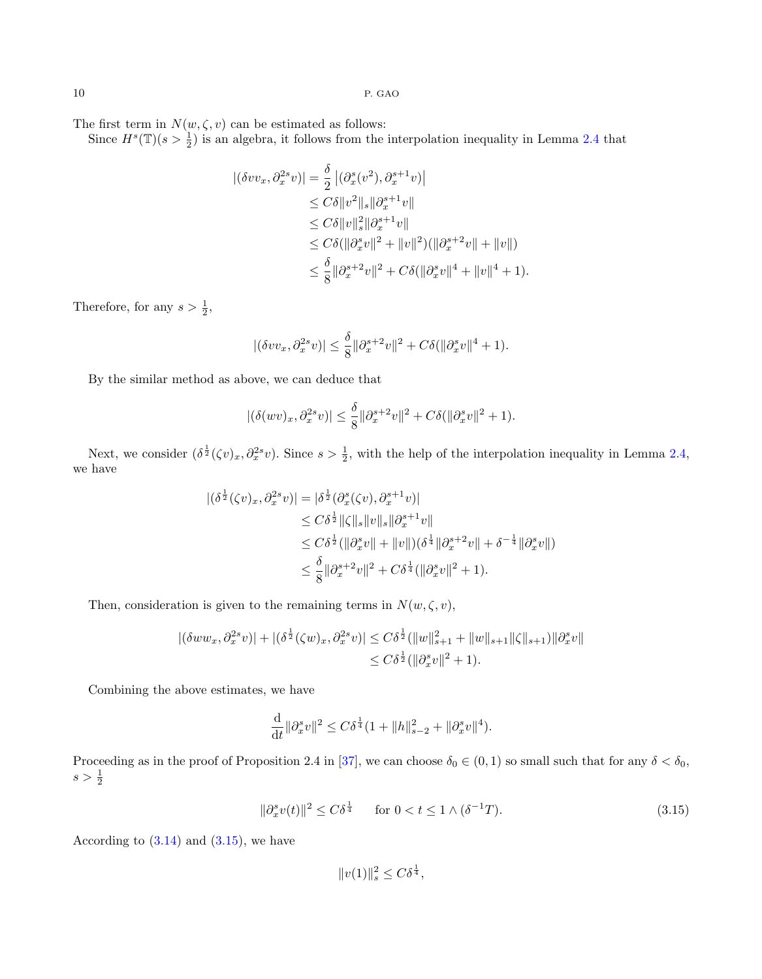The first term in  $N(w, \zeta, v)$  can be estimated as follows:

Since  $H^s(\mathbb{T})(s > \frac{1}{2})$  is an algebra, it follows from the interpolation inequality in Lemma [2.4](#page-2-2) that

$$
\begin{aligned} |(\delta v v_x, \partial_x^{2s} v)| &= \frac{\delta}{2} |(\partial_x^s (v^2), \partial_x^{s+1} v)| \\ &\leq C\delta \|v^2\|_s \|\partial_x^{s+1} v\| \\ &\leq C\delta \|v\|_s^2 \|\partial_x^{s+1} v\| \\ &\leq C\delta (\|\partial_x^s v\|^2 + \|v\|^2)(\|\partial_x^{s+2} v\| + \|v\|) \\ &\leq \frac{\delta}{8} \|\partial_x^{s+2} v\|^2 + C\delta (\|\partial_x^s v\|^4 + \|v\|^4 + 1). \end{aligned}
$$

Therefore, for any  $s > \frac{1}{2}$ ,

$$
|(\delta vv_x, \partial_x^{2s} v)| \le \frac{\delta}{8} ||\partial_x^{s+2} v||^2 + C\delta(||\partial_x^s v||^4 + 1).
$$

By the similar method as above, we can deduce that

$$
|(\delta(wv)_x, \partial_x^{2s}v)| \leq \frac{\delta}{8} \|\partial_x^{s+2}v\|^2 + C\delta(\|\partial_x^s v\|^2 + 1).
$$

Next, we consider  $(\delta^{\frac{1}{2}}(\zeta v)_x, \partial_x^{2s}v)$ . Since  $s > \frac{1}{2}$ , with the help of the interpolation inequality in Lemma [2.4,](#page-2-2) we have

$$
\begin{split} |(\delta^{\frac{1}{2}}(\zeta v)_x,\partial^{2s}_x v)|&=|\delta^{\frac{1}{2}}(\partial_x^s(\zeta v),\partial_x^{s+1}v)|\\ &\leq C\delta^{\frac{1}{2}}\|\zeta\|_s\|v\|_s\|\partial_x^{s+1}v\|\\ &\leq C\delta^{\frac{1}{2}}(\|\partial_x^sv\|+\|v\|)(\delta^{\frac{1}{4}}\|\partial_x^{s+2}v\|+\delta^{-\frac{1}{4}}\|\partial_x^sv\|)\\ &\leq \frac{\delta}{8}\|\partial_x^{s+2}v\|^2+C\delta^{\frac{1}{4}}(\|\partial_x^sv\|^2+1). \end{split}
$$

Then, consideration is given to the remaining terms in  $N(w, \zeta, v)$ ,

$$
|(\delta ww_x, \partial_x^{2s}v)| + |(\delta^{\frac{1}{2}}(\zeta w)_x, \partial_x^{2s}v)| \leq C\delta^{\frac{1}{2}}(\|w\|_{s+1}^2 + \|w\|_{s+1}\|\zeta\|_{s+1})\|\partial_x^{s}v\|
$$
  

$$
\leq C\delta^{\frac{1}{2}}(\|\partial_x^{s}v\|^2 + 1).
$$

Combining the above estimates, we have

$$
\frac{\mathrm{d}}{\mathrm{d}t} \|\partial_x^s v\|^2 \le C\delta^{\frac{1}{4}} (1 + \|h\|_{s-2}^2 + \|\partial_x^s v\|^4).
$$

Proceeding as in the proof of Proposition 2.4 in [\[37\]](#page-20-25), we can choose  $\delta_0 \in (0,1)$  so small such that for any  $\delta < \delta_0$ ,  $s > \frac{1}{2}$ 

<span id="page-9-0"></span>
$$
\|\partial_x^s v(t)\|^2 \le C\delta^{\frac{1}{4}} \qquad \text{for } 0 < t \le 1 \land (\delta^{-1}T). \tag{3.15}
$$

According to  $(3.14)$  and  $(3.15)$ , we have

$$
||v(1)||_s^2 \le C\delta^{\frac{1}{4}},
$$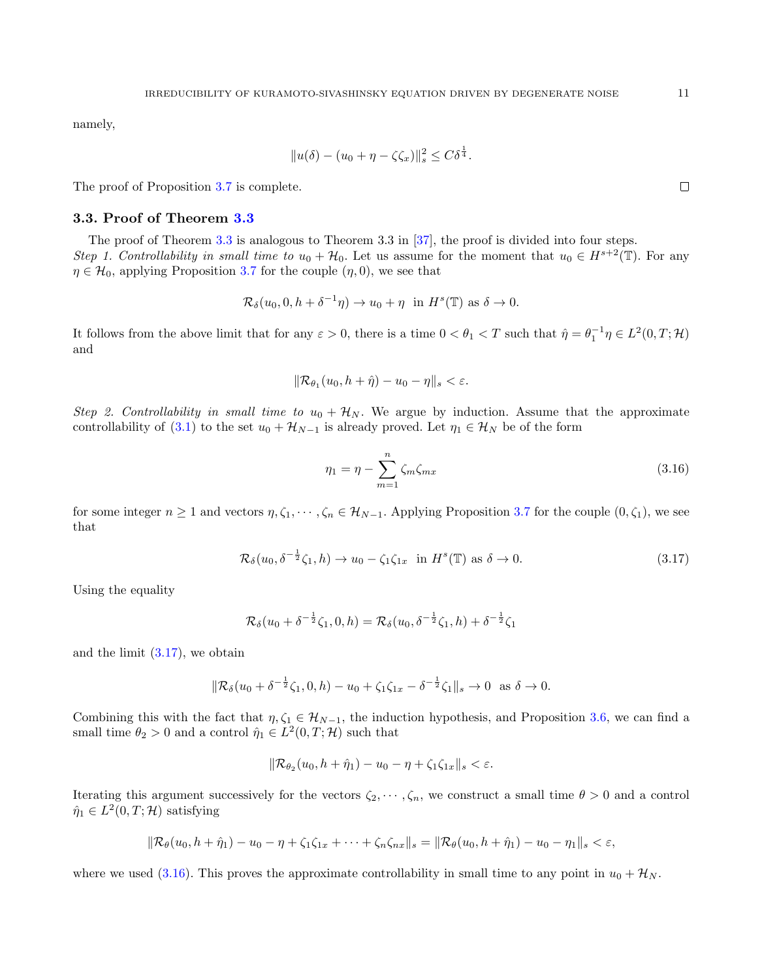namely,

$$
||u(\delta) - (u_0 + \eta - \zeta \zeta_x)||_s^2 \le C\delta^{\frac{1}{4}}.
$$

The proof of Proposition [3.7](#page-8-3) is complete.

#### 3.3. Proof of Theorem [3.3](#page-3-0)

The proof of Theorem [3.3](#page-3-0) is analogous to Theorem 3.3 in [\[37\]](#page-20-25), the proof is divided into four steps. Step 1. Controllability in small time to  $u_0 + \mathcal{H}_0$ . Let us assume for the moment that  $u_0 \in H^{s+2}(\mathbb{T})$ . For any  $\eta \in \mathcal{H}_0$ , applying Proposition [3.7](#page-8-3) for the couple  $(\eta, 0)$ , we see that

$$
\mathcal{R}_{\delta}(u_0, 0, h + \delta^{-1}\eta) \to u_0 + \eta \text{ in } H^s(\mathbb{T}) \text{ as } \delta \to 0.
$$

It follows from the above limit that for any  $\varepsilon > 0$ , there is a time  $0 < \theta_1 < T$  such that  $\hat{\eta} = \theta_1^{-1} \eta \in L^2(0, T; \mathcal{H})$ and

$$
\|\mathcal{R}_{\theta_1}(u_0, h+\hat{\eta}) - u_0 - \eta\|_{s} < \varepsilon.
$$

Step 2. Controllability in small time to  $u_0 + \mathcal{H}_N$ . We argue by induction. Assume that the approximate controllability of [\(3.1\)](#page-3-2) to the set  $u_0 + \mathcal{H}_{N-1}$  is already proved. Let  $\eta_1 \in \mathcal{H}_N$  be of the form

<span id="page-10-1"></span>
$$
\eta_1 = \eta - \sum_{m=1}^n \zeta_m \zeta_{mx} \tag{3.16}
$$

for some integer  $n \ge 1$  and vectors  $\eta, \zeta_1, \dots, \zeta_n \in \mathcal{H}_{N-1}$ . Applying Proposition [3.7](#page-8-3) for the couple  $(0, \zeta_1)$ , we see that

<span id="page-10-0"></span>
$$
\mathcal{R}_{\delta}(u_0, \delta^{-\frac{1}{2}}\zeta_1, h) \to u_0 - \zeta_1 \zeta_{1x} \text{ in } H^s(\mathbb{T}) \text{ as } \delta \to 0.
$$
\n(3.17)

Using the equality

$$
\mathcal{R}_{\delta}(u_0 + \delta^{-\frac{1}{2}}\zeta_1, 0, h) = \mathcal{R}_{\delta}(u_0, \delta^{-\frac{1}{2}}\zeta_1, h) + \delta^{-\frac{1}{2}}\zeta_1
$$

and the limit  $(3.17)$ , we obtain

$$
\|\mathcal{R}_{\delta}(u_0 + \delta^{-\frac{1}{2}}\zeta_1, 0, h) - u_0 + \zeta_1\zeta_{1x} - \delta^{-\frac{1}{2}}\zeta_1\|_{s} \to 0 \text{ as } \delta \to 0.
$$

Combining this with the fact that  $\eta, \zeta_1 \in \mathcal{H}_{N-1}$ , the induction hypothesis, and Proposition [3.6,](#page-4-2) we can find a small time  $\theta_2 > 0$  and a control  $\hat{\eta}_1 \in L^2(0,T; \mathcal{H})$  such that

$$
\|\mathcal{R}_{\theta_2}(u_0, h + \hat{\eta}_1) - u_0 - \eta + \zeta_1 \zeta_{1x}\|_{s} < \varepsilon.
$$

Iterating this argument successively for the vectors  $\zeta_2, \dots, \zeta_n$ , we construct a small time  $\theta > 0$  and a control  $\hat{\eta}_1 \in L^2(0,T; \mathcal{H})$  satisfying

$$
\|\mathcal{R}_{\theta}(u_0, h + \hat{\eta}_1) - u_0 - \eta + \zeta_1 \zeta_{1x} + \dots + \zeta_n \zeta_{nx}\|_s = \|\mathcal{R}_{\theta}(u_0, h + \hat{\eta}_1) - u_0 - \eta_1\|_s < \varepsilon,
$$

where we used [\(3.16\)](#page-10-1). This proves the approximate controllability in small time to any point in  $u_0 + \mathcal{H}_N$ .

 $\Box$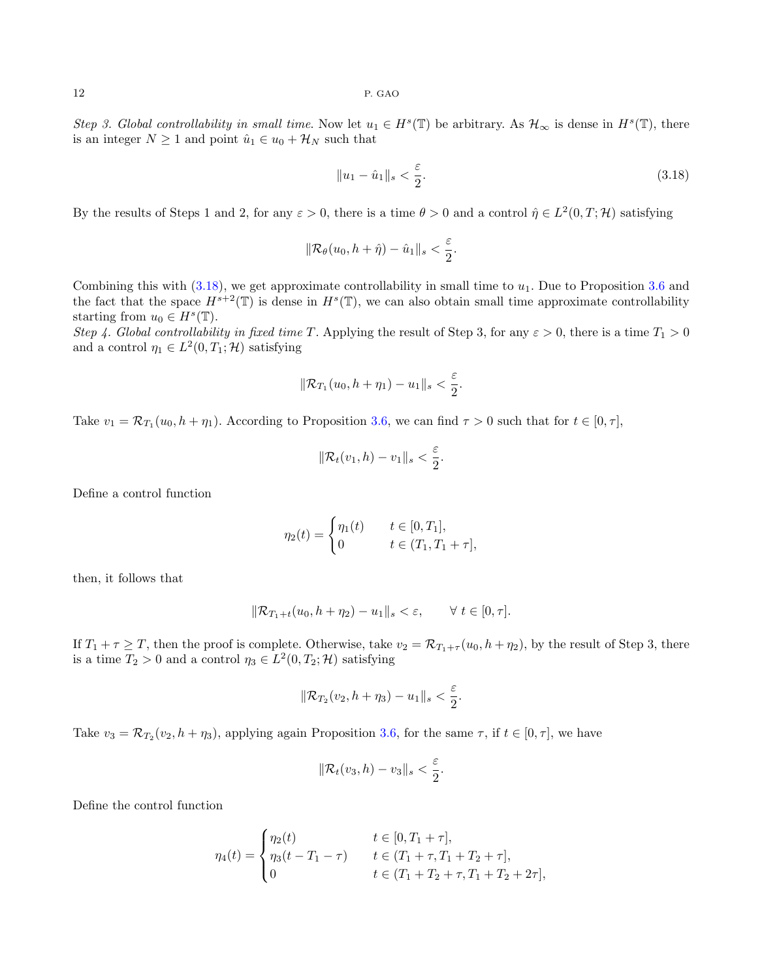Step 3. Global controllability in small time. Now let  $u_1 \in H^s(\mathbb{T})$  be arbitrary. As  $\mathcal{H}_{\infty}$  is dense in  $H^s(\mathbb{T})$ , there is an integer  $N \geq 1$  and point  $\hat{u}_1 \in u_0 + \mathcal{H}_N$  such that

<span id="page-11-0"></span>
$$
||u_1 - \hat{u}_1||_s < \frac{\varepsilon}{2}.
$$
\n(3.18)

By the results of Steps 1 and 2, for any  $\varepsilon > 0$ , there is a time  $\theta > 0$  and a control  $\hat{\eta} \in L^2(0,T; \mathcal{H})$  satisfying

$$
\|\mathcal{R}_{\theta}(u_0, h+\hat{\eta}) - \hat{u}_1\|_{s} < \frac{\varepsilon}{2}.
$$

Combining this with  $(3.18)$ , we get approximate controllability in small time to  $u_1$ . Due to Proposition [3.6](#page-4-2) and the fact that the space  $H^{s+2}(\mathbb{T})$  is dense in  $H^s(\mathbb{T})$ , we can also obtain small time approximate controllability starting from  $u_0 \in H^s(\mathbb{T})$ .

Step 4. Global controllability in fixed time T. Applying the result of Step 3, for any  $\varepsilon > 0$ , there is a time  $T_1 > 0$ and a control  $\eta_1 \in L^2(0,T_1;\mathcal{H})$  satisfying

$$
\|\mathcal{R}_{T_1}(u_0,h+\eta_1)-u_1\|_s<\frac{\varepsilon}{2}.
$$

Take  $v_1 = \mathcal{R}_{T_1}(u_0, h + \eta_1)$ . According to Proposition [3.6,](#page-4-2) we can find  $\tau > 0$  such that for  $t \in [0, \tau]$ ,

$$
\|\mathcal{R}_t(v_1,h)-v_1\|_s<\frac{\varepsilon}{2}.
$$

Define a control function

$$
\eta_2(t) = \begin{cases} \eta_1(t) & t \in [0, T_1], \\ 0 & t \in (T_1, T_1 + \tau], \end{cases}
$$

then, it follows that

$$
\|\mathcal{R}_{T_1+t}(u_0,h+\eta_2)-u_1\|_{s}<\varepsilon,\qquad\forall\ t\in[0,\tau].
$$

If  $T_1 + \tau \geq T$ , then the proof is complete. Otherwise, take  $v_2 = \mathcal{R}_{T_1+\tau}(u_0, h + \eta_2)$ , by the result of Step 3, there is a time  $T_2 > 0$  and a control  $\eta_3 \in L^2(0, T_2; \mathcal{H})$  satisfying

$$
\|\mathcal{R}_{T_2}(v_2,h+\eta_3)-u_1\|_s<\frac{\varepsilon}{2}.
$$

Take  $v_3 = \mathcal{R}_{T_2}(v_2, h + \eta_3)$ , applying again Proposition [3.6,](#page-4-2) for the same  $\tau$ , if  $t \in [0, \tau]$ , we have

$$
\|\mathcal{R}_t(v_3,h)-v_3\|_s<\frac{\varepsilon}{2}.
$$

Define the control function

$$
\eta_4(t) = \begin{cases} \eta_2(t) & t \in [0, T_1 + \tau], \\ \eta_3(t - T_1 - \tau) & t \in (T_1 + \tau, T_1 + T_2 + \tau], \\ 0 & t \in (T_1 + T_2 + \tau, T_1 + T_2 + 2\tau], \end{cases}
$$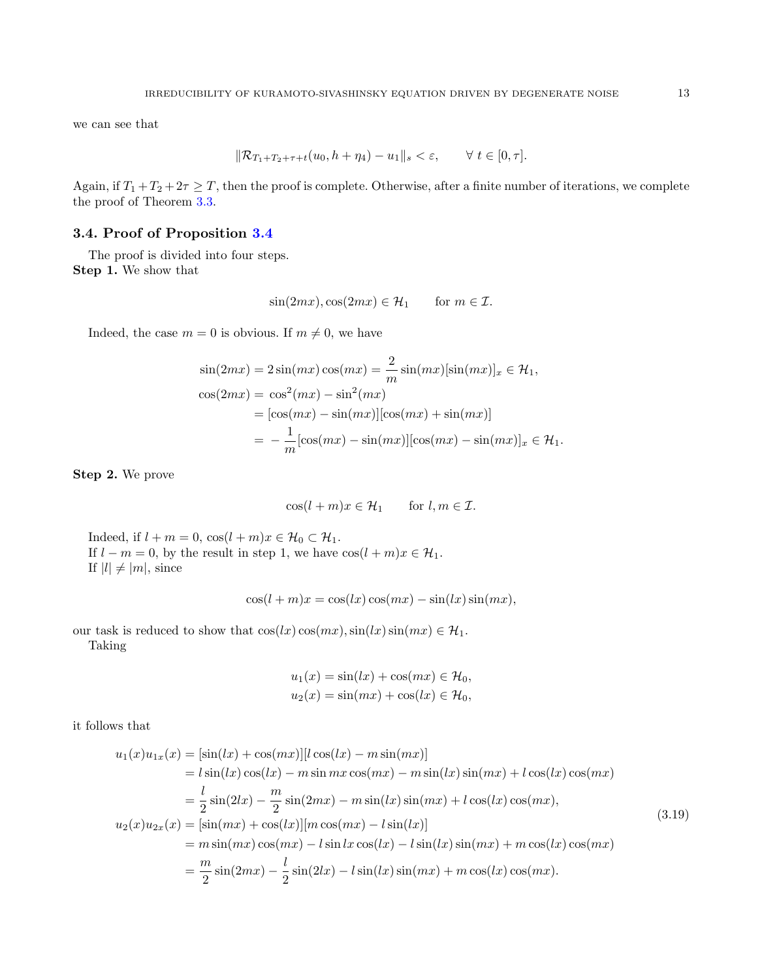we can see that

$$
\|\mathcal{R}_{T_1+T_2+\tau+t}(u_0,h+\eta_4)-u_1\|_s<\varepsilon,\qquad\forall\ t\in[0,\tau].
$$

Again, if  $T_1 + T_2 + 2\tau \geq T$ , then the proof is complete. Otherwise, after a finite number of iterations, we complete the proof of Theorem [3.3.](#page-3-0)

#### <span id="page-12-0"></span>3.4. Proof of Proposition [3.4](#page-3-3)

The proof is divided into four steps. Step 1. We show that

$$
\sin(2mx), \cos(2mx) \in \mathcal{H}_1 \quad \text{for } m \in \mathcal{I}
$$

Indeed, the case  $m = 0$  is obvious. If  $m \neq 0$ , we have

$$
\sin(2mx) = 2\sin(mx)\cos(mx) = \frac{2}{m}\sin(mx)[\sin(mx)]_x \in \mathcal{H}_1,
$$
  
\n
$$
\cos(2mx) = \cos^2(mx) - \sin^2(mx)
$$
  
\n
$$
= [\cos(mx) - \sin(mx)][\cos(mx) + \sin(mx)]
$$
  
\n
$$
= -\frac{1}{m}[\cos(mx) - \sin(mx)][\cos(mx) - \sin(mx)]_x \in \mathcal{H}_1.
$$

Step 2. We prove

$$
\cos(l+m)x \in \mathcal{H}_1 \quad \text{for } l, m \in \mathcal{I}.
$$

Indeed, if  $l + m = 0$ ,  $\cos(l + m)x \in \mathcal{H}_0 \subset \mathcal{H}_1$ . If  $l - m = 0$ , by the result in step 1, we have  $\cos(l + m)x \in \mathcal{H}_1$ . If  $|l| \neq |m|$ , since

$$
\cos(l+m)x = \cos(lx)\cos(mx) - \sin(lx)\sin(mx),
$$

our task is reduced to show that  $cos(lx) cos(mx), sin(lx) sin(mx) \in \mathcal{H}_1$ . Taking

$$
u_1(x) = \sin(lx) + \cos(mx) \in \mathcal{H}_0,
$$
  

$$
u_2(x) = \sin(mx) + \cos(lx) \in \mathcal{H}_0,
$$

it follows that

<span id="page-12-1"></span>
$$
u_1(x)u_{1x}(x) = [\sin(lx) + \cos(mx)][l\cos(lx) - m\sin(mx)]
$$
  
\n
$$
= l\sin(lx)\cos(lx) - m\sin mx\cos(mx) - m\sin(lx)\sin(mx) + l\cos(lx)\cos(mx)
$$
  
\n
$$
= \frac{l}{2}\sin(2lx) - \frac{m}{2}\sin(2mx) - m\sin(lx)\sin(mx) + l\cos(lx)\cos(mx),
$$
  
\n
$$
u_2(x)u_{2x}(x) = [\sin(mx) + \cos(lx)][m\cos(mx) - l\sin(lx)]
$$
  
\n
$$
= m\sin(mx)\cos(mx) - l\sin(lx)\sin(mx) + m\cos(lx)\cos(mx)
$$
  
\n
$$
= \frac{m}{2}\sin(2mx) - \frac{l}{2}\sin(2lx) - l\sin(lx)\sin(mx) + m\cos(lx)\cos(mx).
$$
  
\n(3.19)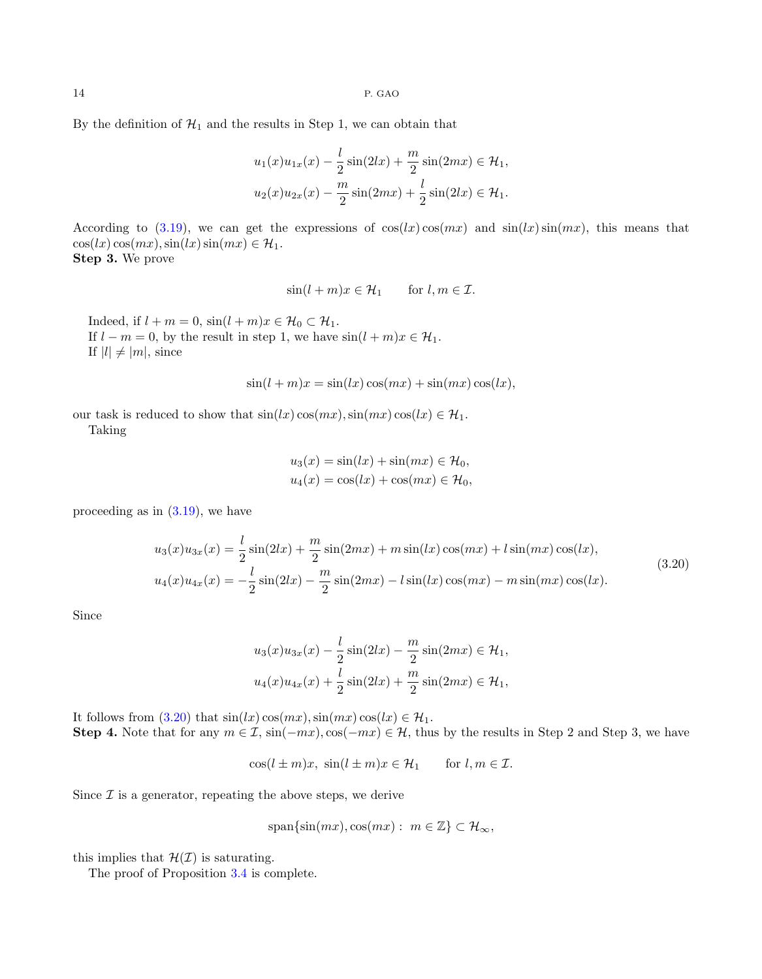By the definition of  $\mathcal{H}_1$  and the results in Step 1, we can obtain that

$$
u_1(x)u_{1x}(x) - \frac{l}{2}\sin(2lx) + \frac{m}{2}\sin(2mx) \in \mathcal{H}_1,
$$
  

$$
u_2(x)u_{2x}(x) - \frac{m}{2}\sin(2mx) + \frac{l}{2}\sin(2lx) \in \mathcal{H}_1.
$$

According to [\(3.19\)](#page-12-1), we can get the expressions of  $\cos(lx)\cos(mx)$  and  $\sin(lx)\sin(mx)$ , this means that  $\cos(lx)\cos(mx),\sin(lx)\sin(mx) \in \mathcal{H}_1.$ Step 3. We prove

$$
\sin(l+m)x \in \mathcal{H}_1 \quad \text{for } l, m \in \mathcal{I}.
$$

Indeed, if  $l + m = 0$ ,  $\sin(l + m)x \in \mathcal{H}_0 \subset \mathcal{H}_1$ . If  $l - m = 0$ , by the result in step 1, we have  $sin(l + m)x \in \mathcal{H}_1$ . If  $|l| \neq |m|$ , since

$$
\sin(l+m)x = \sin(lx)\cos(mx) + \sin(mx)\cos(lx),
$$

our task is reduced to show that  $sin(lx) cos(mx), sin(mx) cos(lx) \in \mathcal{H}_1$ . Taking

$$
u_3(x) = \sin(lx) + \sin(mx) \in \mathcal{H}_0,
$$
  

$$
u_4(x) = \cos(lx) + \cos(mx) \in \mathcal{H}_0,
$$

<span id="page-13-0"></span>proceeding as in [\(3.19\)](#page-12-1), we have

$$
u_3(x)u_{3x}(x) = \frac{l}{2}\sin(2lx) + \frac{m}{2}\sin(2mx) + m\sin(lx)\cos(mx) + l\sin(mx)\cos(lx),
$$
  
\n
$$
u_4(x)u_{4x}(x) = -\frac{l}{2}\sin(2lx) - \frac{m}{2}\sin(2mx) - l\sin(lx)\cos(mx) - m\sin(mx)\cos(lx).
$$
\n(3.20)

Since

$$
u_3(x)u_{3x}(x) - \frac{l}{2}\sin(2lx) - \frac{m}{2}\sin(2mx) \in \mathcal{H}_1,
$$
  

$$
u_4(x)u_{4x}(x) + \frac{l}{2}\sin(2lx) + \frac{m}{2}\sin(2mx) \in \mathcal{H}_1,
$$

It follows from  $(3.20)$  that  $sin(lx) cos(mx), sin(mx) cos(lx) \in \mathcal{H}_1$ . Step 4. Note that for any  $m \in \mathcal{I}$ ,  $\sin(-mx)$ ,  $\cos(-mx) \in \mathcal{H}$ , thus by the results in Step 2 and Step 3, we have

 $\cos(l \pm m)x$ ,  $\sin(l \pm m)x \in \mathcal{H}_1$  for  $l, m \in \mathcal{I}$ .

Since  $\mathcal I$  is a generator, repeating the above steps, we derive

$$
\text{span}\{\sin(mx),\cos(mx):\ m\in\mathbb{Z}\}\subset\mathcal{H}_{\infty},
$$

this implies that  $\mathcal{H}(\mathcal{I})$  is saturating.

The proof of Proposition [3.4](#page-3-3) is complete.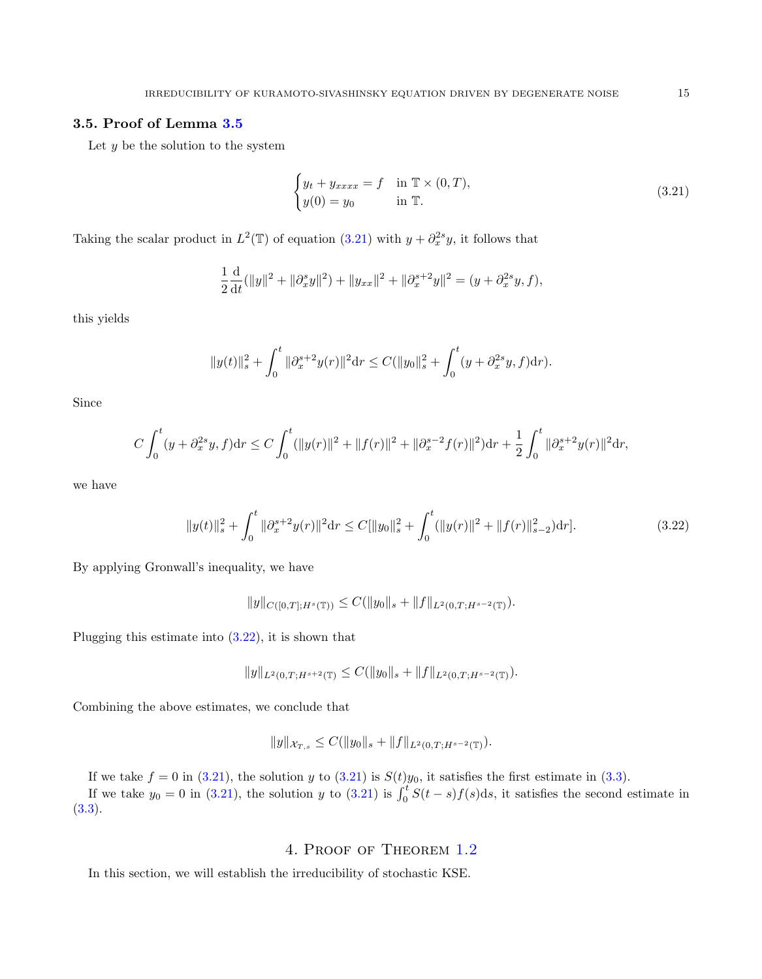## <span id="page-14-1"></span>3.5. Proof of Lemma [3.5](#page-4-0)

Let  $y$  be the solution to the system

<span id="page-14-2"></span>
$$
\begin{cases}\ny_t + y_{xxxx} = f & \text{in } \mathbb{T} \times (0, T), \\
y(0) = y_0 & \text{in } \mathbb{T}.\n\end{cases}
$$
\n(3.21)

Taking the scalar product in  $L^2(\mathbb{T})$  of equation [\(3.21\)](#page-14-2) with  $y + \partial_x^{2s}y$ , it follows that

$$
\frac{1}{2}\frac{\mathrm{d}}{\mathrm{d}t}(\|y\|^2 + \|\partial_x^s y\|^2) + \|y_{xx}\|^2 + \|\partial_x^{s+2} y\|^2 = (y + \partial_x^{2s} y, f),
$$

this yields

$$
||y(t)||_s^2 + \int_0^t ||\partial_x^{s+2} y(r)||^2 dr \le C(||y_0||_s^2 + \int_0^t (y + \partial_x^{2s} y, f) dr).
$$

Since

$$
C\int_0^t (y+\partial_x^{2s}y,f)dr \le C\int_0^t (\|y(r)\|^2 + \|f(r)\|^2 + \|\partial_x^{s-2}f(r)\|^2)dr + \frac{1}{2}\int_0^t \|\partial_x^{s+2}y(r)\|^2 dr,
$$

we have

<span id="page-14-3"></span>
$$
||y(t)||_s^2 + \int_0^t ||\partial_x^{s+2} y(r)||^2 dr \le C [||y_0||_s^2 + \int_0^t (||y(r)||^2 + ||f(r)||_{s-2}^2) dr].
$$
\n(3.22)

By applying Gronwall's inequality, we have

$$
||y||_{C([0,T];H^s(\mathbb{T}))} \leq C(||y_0||_s + ||f||_{L^2(0,T;H^{s-2}(\mathbb{T}))}).
$$

Plugging this estimate into [\(3.22\)](#page-14-3), it is shown that

$$
||y||_{L^2(0,T;H^{s+2}(\mathbb{T})} \leq C(||y_0||_s + ||f||_{L^2(0,T;H^{s-2}(\mathbb{T}))}).
$$

Combining the above estimates, we conclude that

$$
||y||_{\mathcal{X}_{T,s}} \leq C(||y_0||_s + ||f||_{L^2(0,T;H^{s-2}(\mathbb{T}))}).
$$

If we take  $f = 0$  in [\(3.21\)](#page-14-2), the solution y to (3.21) is  $S(t)y_0$ , it satisfies the first estimate in [\(3.3\)](#page-4-3). If we take  $y_0 = 0$  in [\(3.21\)](#page-14-2), the solution y to (3.21) is  $\int_0^t S(t-s)f(s)ds$ , it satisfies the second estimate in [\(3.3\)](#page-4-3).

## 4. Proof of Theorem [1.2](#page-1-1)

<span id="page-14-0"></span>In this section, we will establish the irreducibility of stochastic KSE.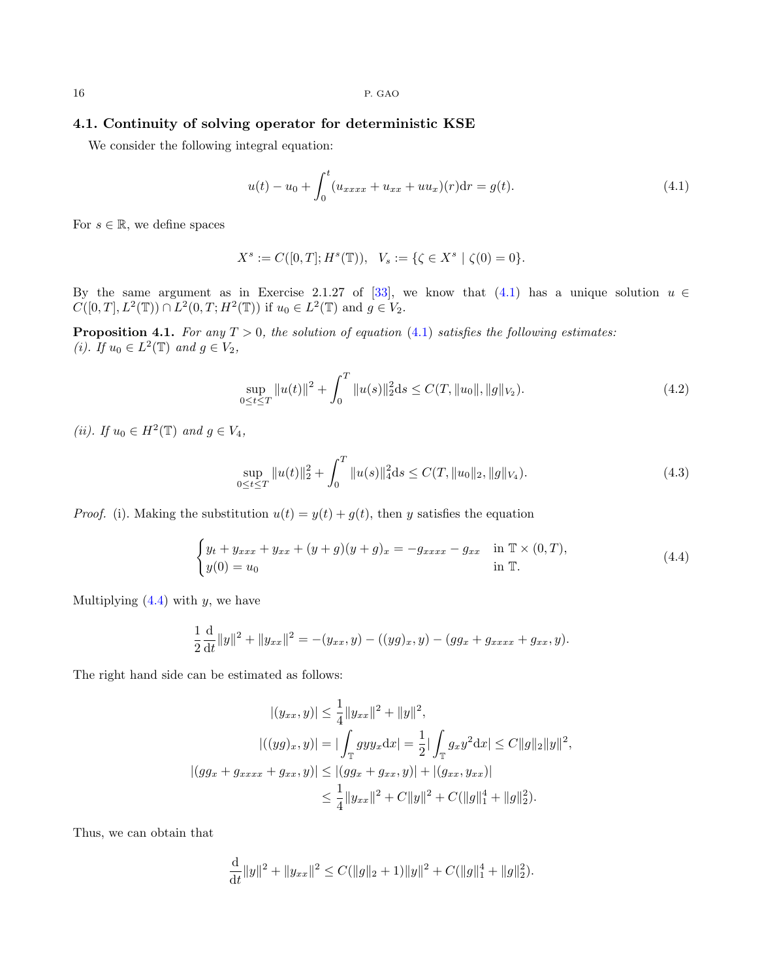## 4.1. Continuity of solving operator for deterministic KSE

We consider the following integral equation:

<span id="page-15-0"></span>
$$
u(t) - u_0 + \int_0^t (u_{xxxx} + u_{xx} + uu_x)(r) dr = g(t).
$$
\n(4.1)

For  $s \in \mathbb{R}$ , we define spaces

$$
X^{s} := C([0, T]; H^{s}(\mathbb{T})), \quad V_{s} := \{ \zeta \in X^{s} \mid \zeta(0) = 0 \}.
$$

By the same argument as in Exercise 2.1.27 of [\[33\]](#page-20-26), we know that [\(4.1\)](#page-15-0) has a unique solution  $u \in$  $C([0, T], L^2(\mathbb{T})) \cap L^2(0, T; H^2(\mathbb{T}))$  if  $u_0 \in L^2(\mathbb{T})$  and  $g \in V_2$ .

<span id="page-15-4"></span>**Proposition 4.1.** For any  $T > 0$ , the solution of equation [\(4.1\)](#page-15-0) satisfies the following estimates: (*i*). If  $u_0 \in L^2(\mathbb{T})$  and  $g \in V_2$ ,

<span id="page-15-2"></span>
$$
\sup_{0 \le t \le T} \|u(t)\|^2 + \int_0^T \|u(s)\|_2^2 ds \le C(T, \|u_0\|, \|g\|_{V_2}). \tag{4.2}
$$

(*ii*). If  $u_0 \in H^2(\mathbb{T})$  and  $g \in V_4$ ,

<span id="page-15-3"></span>
$$
\sup_{0 \le t \le T} \|u(t)\|_2^2 + \int_0^T \|u(s)\|_4^2 ds \le C(T, \|u_0\|_2, \|g\|_{V_4}).
$$
\n(4.3)

*Proof.* (i). Making the substitution  $u(t) = y(t) + g(t)$ , then y satisfies the equation

<span id="page-15-1"></span>
$$
\begin{cases} y_t + y_{xxx} + y_{xx} + (y+g)(y+g)_x = -g_{xxxx} - g_{xx} & \text{in } \mathbb{T} \times (0,T), \\ y(0) = u_0 & \text{in } \mathbb{T}. \end{cases} (4.4)
$$

Multiplying  $(4.4)$  with y, we have

$$
\frac{1}{2}\frac{\mathrm{d}}{\mathrm{d}t}||y||^2 + ||y_{xx}||^2 = -(y_{xx}, y) - ((yg)_x, y) - (gg_x + g_{xxxx} + g_{xx}, y).
$$

The right hand side can be estimated as follows:

$$
|(y_{xx}, y)| \le \frac{1}{4} ||y_{xx}||^2 + ||y||^2,
$$
  

$$
|((yg)_x, y)| = |\int_{\mathbb{T}} gy y_x dx| = \frac{1}{2} |\int_{\mathbb{T}} g_x y^2 dx| \le C ||g||_2 ||y||^2,
$$
  

$$
|(gg_x + g_{xxxx} + g_{xx}, y)| \le |(gg_x + g_{xx}, y)| + |(g_{xx}, y_{xx})|
$$
  

$$
\le \frac{1}{4} ||y_{xx}||^2 + C ||y||^2 + C (||g||_1^4 + ||g||_2^2).
$$

Thus, we can obtain that

$$
\frac{\mathrm{d}}{\mathrm{d}t} \|y\|^2 + \|y_{xx}\|^2 \le C(\|g\|_2 + 1)\|y\|^2 + C(\|g\|_1^4 + \|g\|_2^2).
$$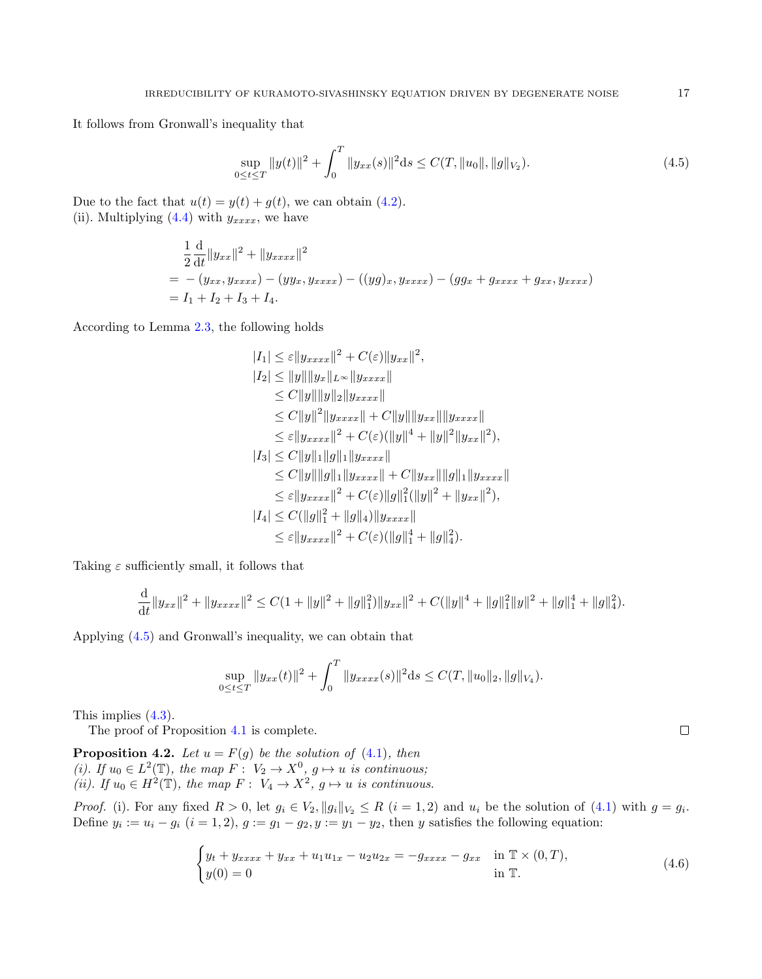It follows from Gronwall's inequality that

<span id="page-16-1"></span>
$$
\sup_{0 \le t \le T} \|y(t)\|^2 + \int_0^T \|y_{xx}(s)\|^2 ds \le C(T, \|u_0\|, \|g\|_{V_2}).
$$
\n(4.5)

Due to the fact that  $u(t) = y(t) + g(t)$ , we can obtain [\(4.2\)](#page-15-2). (ii). Multiplying  $(4.4)$  with  $y_{xxxx}$ , we have

$$
\frac{1}{2}\frac{d}{dt}||y_{xx}||^2 + ||y_{xxxx}||^2
$$
  
= - (y\_{xx}, y\_{xxxx}) - (yy\_x, y\_{xxxx}) - ((yg)\_x, y\_{xxxx}) - (gg\_x + g\_{xxxx} + g\_{xx}, y\_{xxxx})  
= I\_1 + I\_2 + I\_3 + I\_4.

According to Lemma [2.3,](#page-2-1) the following holds

$$
|I_{1}| \leq \varepsilon ||y_{xxxx}||^{2} + C(\varepsilon)||y_{xx}||^{2},
$$
  
\n
$$
|I_{2}| \leq ||y|| ||y_{x}||_{L^{\infty}} ||y_{xxxx}||
$$
  
\n
$$
\leq C ||y|| ||y||_{2} ||y_{xxxx}||
$$
  
\n
$$
\leq C ||y||^{2} ||y_{xxxx}|| + C ||y|| ||y_{xx}|| ||y_{xxxx}||
$$
  
\n
$$
\leq \varepsilon ||y_{xxxx}||^{2} + C(\varepsilon)(||y||^{4} + ||y||^{2} ||y_{xx}||^{2}),
$$
  
\n
$$
|I_{3}| \leq C ||y||_{1} ||g||_{1} ||y_{xxxx}||
$$
  
\n
$$
\leq C ||y|| ||g||_{1} ||y_{xxxx}|| + C ||y_{xx}|| ||g||_{1} ||y_{xxxx}||
$$
  
\n
$$
\leq \varepsilon ||y_{xxxx}||^{2} + C(\varepsilon) ||g||_{1}^{2} (||y||^{2} + ||y_{xx}||^{2}),
$$
  
\n
$$
|I_{4}| \leq C (||g||_{1}^{2} + ||g||_{4}) ||y_{xxxx}||
$$
  
\n
$$
\leq \varepsilon ||y_{xxxx}||^{2} + C(\varepsilon)(||g||_{1}^{4} + ||g||_{4}^{2}).
$$

Taking  $\varepsilon$  sufficiently small, it follows that

$$
\frac{\mathrm{d}}{\mathrm{d}t} \|y_{xx}\|^2 + \|y_{xxxx}\|^2 \leq C(1 + \|y\|^2 + \|g\|_1^2) \|y_{xx}\|^2 + C(\|y\|^4 + \|g\|_1^2 \|y\|^2 + \|g\|_1^4 + \|g\|_4^2).
$$

Applying [\(4.5\)](#page-16-1) and Gronwall's inequality, we can obtain that

$$
\sup_{0 \le t \le T} \|y_{xx}(t)\|^2 + \int_0^T \|y_{xxxx}(s)\|^2 ds \le C(T, \|u_0\|_2, \|g\|_{V_4}).
$$

This implies [\(4.3\)](#page-15-3).

The proof of Proposition [4.1](#page-15-4) is complete.

<span id="page-16-0"></span>**Proposition 4.2.** Let  $u = F(g)$  be the solution of [\(4.1\)](#page-15-0), then (i). If  $u_0 \in L^2(\mathbb{T})$ , the map  $F: V_2 \to X^0$ ,  $g \mapsto u$  is continuous; (*ii*). If  $u_0 \in H^2(\mathbb{T})$ , the map  $F: V_4 \to X^2$ ,  $g \mapsto u$  is continuous.

*Proof.* (i). For any fixed  $R > 0$ , let  $g_i \in V_2$ ,  $||g_i||_{V_2} \leq R$   $(i = 1, 2)$  and  $u_i$  be the solution of [\(4.1\)](#page-15-0) with  $g = g_i$ . Define  $y_i := u_i - g_i$   $(i = 1, 2), g := g_1 - g_2, y := y_1 - y_2$ , then y satisfies the following equation:

<span id="page-16-2"></span>
$$
\begin{cases} y_t + y_{xxxx} + y_{xx} + u_1 u_{1x} - u_2 u_{2x} = -g_{xxxx} - g_{xx} & \text{in } \mathbb{T} \times (0, T), \\ y(0) = 0 & \text{in } \mathbb{T}. \end{cases} (4.6)
$$

 $\Box$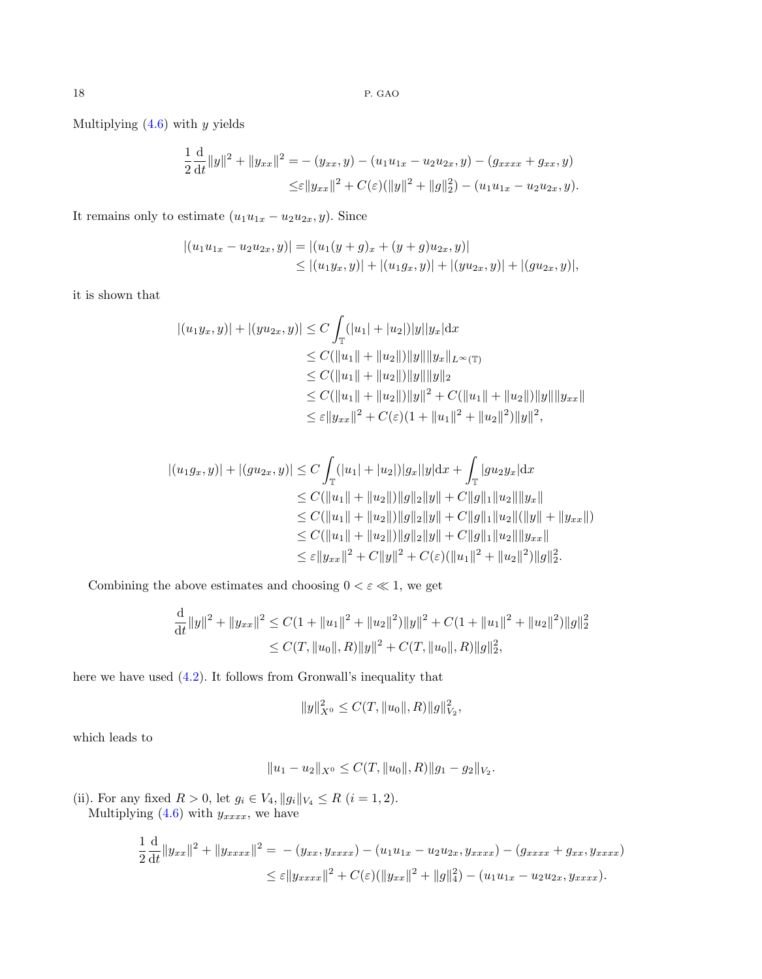Multiplying  $(4.6)$  with y yields

$$
\frac{1}{2}\frac{d}{dt}\|y\|^2 + \|y_{xx}\|^2 = -(y_{xx}, y) - (u_1u_{1x} - u_2u_{2x}, y) - (g_{xxxx} + g_{xx}, y)
$$
  

$$
\leq \varepsilon \|y_{xx}\|^2 + C(\varepsilon)(\|y\|^2 + \|g\|_2^2) - (u_1u_{1x} - u_2u_{2x}, y).
$$

It remains only to estimate  $(u_1u_{1x} - u_2u_{2x}, y)$ . Since

$$
|(u_1u_{1x} - u_2u_{2x}, y)| = |(u_1(y + g)_x + (y + g)u_{2x}, y)|
$$
  
\n
$$
\leq |(u_1y_x, y)| + |(u_1g_x, y)| + |(yu_{2x}, y)| + |(gu_{2x}, y)|,
$$

it is shown that

$$
|(u_1y_x, y)| + |(yu_{2x}, y)| \le C \int_{\mathbb{T}} (|u_1| + |u_2|)|y||y_x| dx
$$
  
\n
$$
\le C(||u_1|| + ||u_2||)||y|| ||y_x||_{L^{\infty}(\mathbb{T})}
$$
  
\n
$$
\le C(||u_1|| + ||u_2||)||y|| ||y||_2
$$
  
\n
$$
\le C(||u_1|| + ||u_2||)||y||^2 + C(||u_1|| + ||u_2||)||y|| ||y_{xx}||
$$
  
\n
$$
\le \varepsilon ||y_{xx}||^2 + C(\varepsilon)(1 + ||u_1||^2 + ||u_2||^2)||y||^2,
$$

$$
|(u_1g_x, y)| + |(gu_{2x}, y)| \le C \int_{\mathbb{T}} (|u_1| + |u_2|)|g_x||y| dx + \int_{\mathbb{T}} |gu_2y_x| dx
$$
  
\n
$$
\le C(||u_1|| + ||u_2||)||g||_2||y|| + C||g||_1||u_2||||y_x||
$$
  
\n
$$
\le C(||u_1|| + ||u_2||)||g||_2||y|| + C||g||_1||u_2||(||y|| + ||y_{xx}||)
$$
  
\n
$$
\le C(||u_1|| + ||u_2||)||g||_2||y|| + C||g||_1||u_2||||y_{xx}||
$$
  
\n
$$
\le \varepsilon ||y_{xx}||^2 + C||y||^2 + C(\varepsilon)(||u_1||^2 + ||u_2||^2)||g||_2^2.
$$

Combining the above estimates and choosing  $0 < \varepsilon \ll 1$ , we get

$$
\frac{d}{dt}||y||^2 + ||y_{xx}||^2 \le C(1 + ||u_1||^2 + ||u_2||^2)||y||^2 + C(1 + ||u_1||^2 + ||u_2||^2)||g||_2^2
$$
  
\n
$$
\le C(T, ||u_0||, R)||y||^2 + C(T, ||u_0||, R)||g||_2^2,
$$

here we have used [\(4.2\)](#page-15-2). It follows from Gronwall's inequality that

$$
||y||_{X^{0}}^{2} \leq C(T, ||u_{0}||, R)||g||_{V_{2}}^{2},
$$

which leads to

$$
||u_1 - u_2||_{X^0} \le C(T, ||u_0||, R)||g_1 - g_2||_{V_2}.
$$

(ii). For any fixed  $R > 0$ , let  $g_i \in V_4$ ,  $||g_i||_{V_4} \leq R$   $(i = 1, 2)$ .

Multiplying  $(4.6)$  with  $y_{xxxx}$ , we have

$$
\frac{1}{2}\frac{d}{dt}||y_{xx}||^2 + ||y_{xxxx}||^2 = -(y_{xx}, y_{xxxx}) - (u_1u_{1x} - u_2u_{2x}, y_{xxxx}) - (g_{xxxx} + g_{xx}, y_{xxxx})
$$
  

$$
\leq \varepsilon ||y_{xxxx}||^2 + C(\varepsilon)(||y_{xx}||^2 + ||g||_4^2) - (u_1u_{1x} - u_2u_{2x}, y_{xxxx}).
$$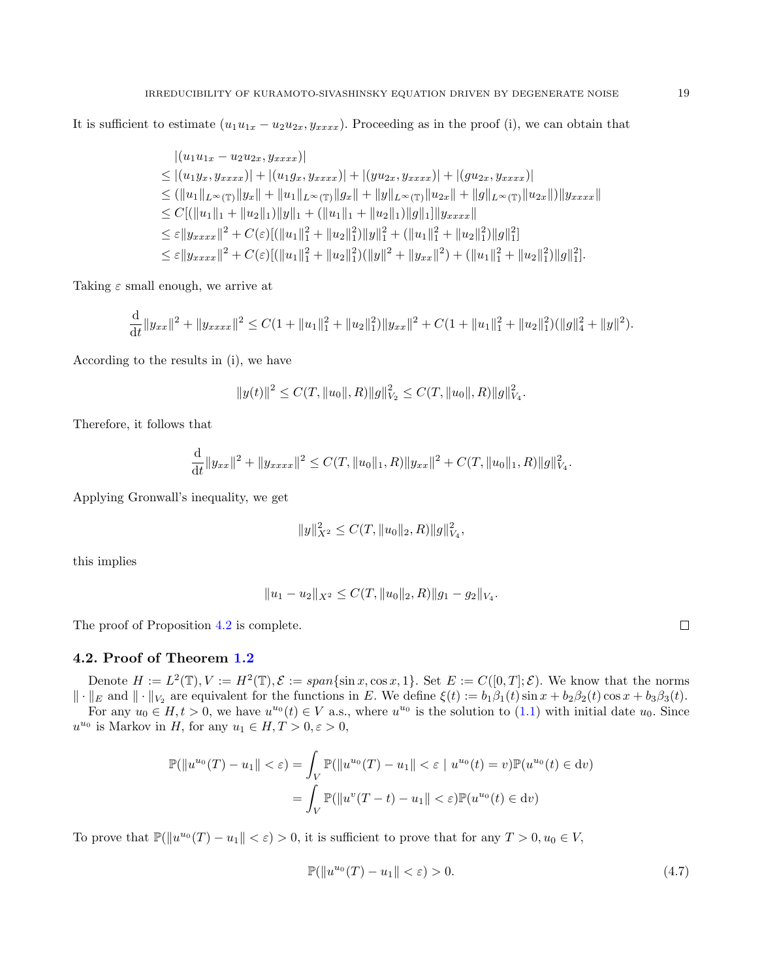It is sufficient to estimate  $(u_1u_{1x} - u_2u_{2x}, y_{xxx})$ . Proceeding as in the proof (i), we can obtain that

$$
|(u_1u_1_x - u_2u_2x, y_{xxxx})|
$$
  
\n
$$
\leq |(u_1y_x, y_{xxxx})| + |(u_1g_x, y_{xxxx})| + |(yu_{2x}, y_{xxxx})| + |(gu_{2x}, y_{xxxx})|
$$
  
\n
$$
\leq (||u_1||_{L^{\infty}(\mathbb{T})}||y_x|| + ||u_1||_{L^{\infty}(\mathbb{T})}||g_x|| + ||y||_{L^{\infty}(\mathbb{T})}||u_{2x}|| + ||g||_{L^{\infty}(\mathbb{T})}||u_{2x}||)||y_{xxxx}||
$$
  
\n
$$
\leq C[(||u_1||_1 + ||u_2||_1)||y||_1 + (||u_1||_1 + ||u_2||_1)||g||_1]||y_{xxxx}||
$$
  
\n
$$
\leq \varepsilon ||y_{xxxx}||^2 + C(\varepsilon)[(||u_1||_1^2 + ||u_2||_1^2)||y||_1^2 + (||u_1||_1^2 + ||u_2||_1^2)||g||_1^2]
$$
  
\n
$$
\leq \varepsilon ||y_{xxxx}||^2 + C(\varepsilon)[(||u_1||_1^2 + ||u_2||_1^2)(||y||^2 + ||y_{xx}||^2) + (||u_1||_1^2 + ||u_2||_1^2)||g||_1^2].
$$

Taking  $\varepsilon$  small enough, we arrive at

$$
\frac{\mathrm{d}}{\mathrm{d}t} \|y_{xx}\|^2 + \|y_{xxxx}\|^2 \leq C(1 + \|u_1\|_1^2 + \|u_2\|_1^2) \|y_{xx}\|^2 + C(1 + \|u_1\|_1^2 + \|u_2\|_1^2) (\|g\|_4^2 + \|y\|^2).
$$

According to the results in (i), we have

$$
||y(t)||^2 \leq C(T, ||u_0||, R)||g||^2_{V_2} \leq C(T, ||u_0||, R)||g||^2_{V_4}.
$$

Therefore, it follows that

$$
\frac{\mathrm{d}}{\mathrm{d}t} \|y_{xx}\|^2 + \|y_{xxxx}\|^2 \leq C(T, \|u_0\|_1, R) \|y_{xx}\|^2 + C(T, \|u_0\|_1, R) \|g\|^2_{V_4}.
$$

Applying Gronwall's inequality, we get

$$
||y||_{X^2}^2 \leq C(T, ||u_0||_2, R) ||g||_{V_4}^2,
$$

this implies

$$
||u_1 - u_2||_{X^2} \le C(T, ||u_0||_2, R) ||g_1 - g_2||_{V_4}.
$$

The proof of Proposition [4.2](#page-16-0) is complete.

## 4.2. Proof of Theorem [1.2](#page-1-1)

Denote  $H := L^2(\mathbb{T}), V := H^2(\mathbb{T}), \mathcal{E} := span\{\sin x, \cos x, 1\}.$  Set  $E := C([0, T]; \mathcal{E})$ . We know that the norms  $\|\cdot\|_E$  and  $\|\cdot\|_{V_2}$  are equivalent for the functions in E. We define  $\xi(t) := b_1\beta_1(t)\sin x + b_2\beta_2(t)\cos x + b_3\beta_3(t)$ . For any  $u_0 \in H, t > 0$ , we have  $u^{u_0}(t) \in V$  a.s., where  $u^{u_0}$  is the solution to  $(1.1)$  with initial date  $u_0$ . Since

 $u^{u_0}$  is Markov in H, for any  $u_1 \in H, T > 0, \varepsilon > 0$ ,

$$
\mathbb{P}(\|u^{u_0}(T) - u_1\| < \varepsilon) = \int_V \mathbb{P}(\|u^{u_0}(T) - u_1\| < \varepsilon \mid u^{u_0}(t) = v)\mathbb{P}(u^{u_0}(t) \in dv)
$$

$$
= \int_V \mathbb{P}(\|u^{v}(T - t) - u_1\| < \varepsilon)\mathbb{P}(u^{u_0}(t) \in dv)
$$

<span id="page-18-0"></span>To prove that  $\mathbb{P}(\|u^{u_0}(T) - u_1\| < \varepsilon) > 0$ , it is sufficient to prove that for any  $T > 0, u_0 \in V$ ,

$$
\mathbb{P}(\|u^{u_0}(T) - u_1\| < \varepsilon) > 0. \tag{4.7}
$$

 $\Box$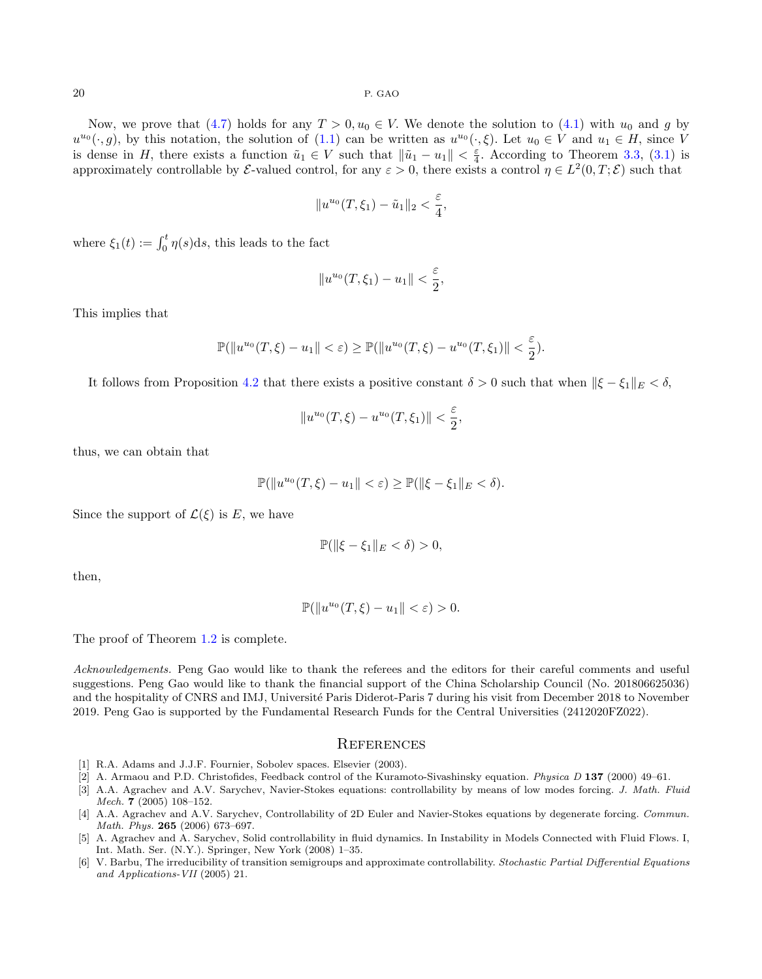Now, we prove that [\(4.7\)](#page-18-0) holds for any  $T > 0, u_0 \in V$ . We denote the solution to [\(4.1\)](#page-15-0) with  $u_0$  and g by  $u^{u_0}(\cdot,g)$ , by this notation, the solution of  $(1.1)$  can be written as  $u^{u_0}(\cdot,\xi)$ . Let  $u_0 \in V$  and  $u_1 \in H$ , since V is dense in H, there exists a function  $\tilde{u}_1 \in V$  such that  $\|\tilde{u}_1 - u_1\| < \frac{\varepsilon}{4}$ . According to Theorem [3.3,](#page-3-0) [\(3.1\)](#page-3-2) is approximately controllable by  $\mathcal E$ -valued control, for any  $\varepsilon > 0$ , there exists a control  $\eta \in L^2(0,T;\mathcal E)$  such that

$$
||u^{u_0}(T,\xi_1)-\tilde{u}_1||_2 < \frac{\varepsilon}{4},
$$

where  $\xi_1(t) := \int_0^t \eta(s) \, ds$ , this leads to the fact

$$
||u^{u_0}(T,\xi_1)-u_1|| < \frac{\varepsilon}{2},
$$

This implies that

$$
\mathbb{P}(\|u^{u_0}(T,\xi) - u_1\| < \varepsilon) \ge \mathbb{P}(\|u^{u_0}(T,\xi) - u^{u_0}(T,\xi_1)\| < \frac{\varepsilon}{2}).
$$

It follows from Proposition [4.2](#page-16-0) that there exists a positive constant  $\delta > 0$  such that when  $\|\xi - \xi_1\|_E < \delta$ ,

$$
||u^{u_0}(T,\xi) - u^{u_0}(T,\xi_1)|| < \frac{\varepsilon}{2}
$$

,

thus, we can obtain that

 $\mathbb{P}(\|u^{u_0}(T,\xi) - u_1\| < \varepsilon) \ge \mathbb{P}(\|\xi - \xi_1\|_E < \delta).$ 

Since the support of  $\mathcal{L}(\xi)$  is E, we have

$$
\mathbb{P}(\|\xi - \xi_1\|_E < \delta) > 0,
$$

then,

$$
\mathbb{P}(\|u^{u_0}(T,\xi)-u_1\|<\varepsilon)>0.
$$

The proof of Theorem [1.2](#page-1-1) is complete.

Acknowledgements. Peng Gao would like to thank the referees and the editors for their careful comments and useful suggestions. Peng Gao would like to thank the financial support of the China Scholarship Council (No. 201806625036) and the hospitality of CNRS and IMJ, Université Paris Diderot-Paris 7 during his visit from December 2018 to November 2019. Peng Gao is supported by the Fundamental Research Funds for the Central Universities (2412020FZ022).

#### **REFERENCES**

- <span id="page-19-2"></span>[1] R.A. Adams and J.J.F. Fournier, Sobolev spaces. Elsevier (2003).
- <span id="page-19-0"></span>[2] A. Armaou and P.D. Christofides, Feedback control of the Kuramoto-Sivashinsky equation. Physica D 137 (2000) 49–61.
- <span id="page-19-3"></span>[3] A.A. Agrachev and A.V. Sarychev, Navier-Stokes equations: controllability by means of low modes forcing. J. Math. Fluid Mech. 7 (2005) 108–152.
- [4] A.A. Agrachev and A.V. Sarychev, Controllability of 2D Euler and Navier-Stokes equations by degenerate forcing. Commun. Math. Phys. 265 (2006) 673–697.
- <span id="page-19-4"></span>[5] A. Agrachev and A. Sarychev, Solid controllability in fluid dynamics. In Instability in Models Connected with Fluid Flows. I, Int. Math. Ser. (N.Y.). Springer, New York (2008) 1–35.
- <span id="page-19-1"></span>[6] V. Barbu, The irreducibility of transition semigroups and approximate controllability. Stochastic Partial Differential Equations and Applications-VII (2005) 21.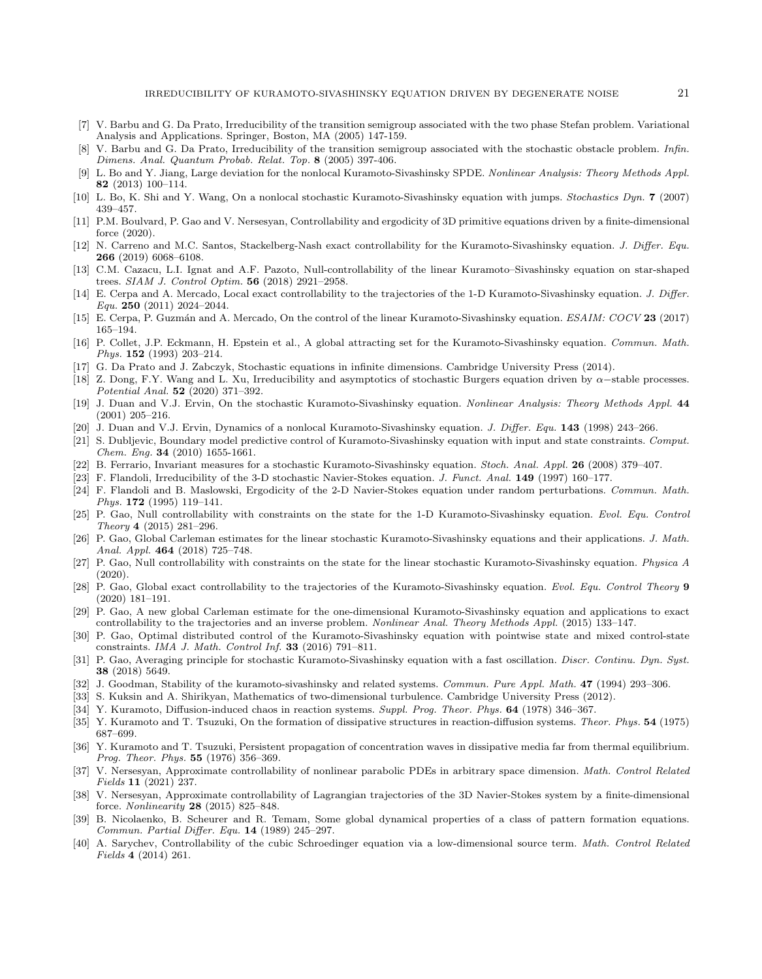- [7] V. Barbu and G. Da Prato, Irreducibility of the transition semigroup associated with the two phase Stefan problem. Variational Analysis and Applications. Springer, Boston, MA (2005) 147-159.
- <span id="page-20-14"></span>[8] V. Barbu and G. Da Prato, Irreducibility of the transition semigroup associated with the stochastic obstacle problem. Infin. Dimens. Anal. Quantum Probab. Relat. Top. 8 (2005) 397-406.
- <span id="page-20-12"></span>[9] L. Bo and Y. Jiang, Large deviation for the nonlocal Kuramoto-Sivashinsky SPDE. Nonlinear Analysis: Theory Methods Appl. 82 (2013) 100–114.
- <span id="page-20-6"></span>[10] L. Bo, K. Shi and Y. Wang, On a nonlocal stochastic Kuramoto-Sivashinsky equation with jumps. Stochastics Dyn. 7 (2007) 439–457.
- <span id="page-20-19"></span>[11] P.M. Boulvard, P. Gao and V. Nersesyan, Controllability and ergodicity of 3D primitive equations driven by a finite-dimensional force (2020).
- <span id="page-20-21"></span>[12] N. Carreno and M.C. Santos, Stackelberg-Nash exact controllability for the Kuramoto-Sivashinsky equation. J. Differ. Equ. 266 (2019) 6068–6108.
- [13] C.M. Cazacu, L.I. Ignat and A.F. Pazoto, Null-controllability of the linear Kuramoto–Sivashinsky equation on star-shaped trees. SIAM J. Control Optim. 56 (2018) 2921–2958.
- [14] E. Cerpa and A. Mercado, Local exact controllability to the trajectories of the 1-D Kuramoto-Sivashinsky equation. J. Differ. Equ. 250 (2011) 2024–2044.
- <span id="page-20-22"></span>[15] E. Cerpa, P. Guzmán and A. Mercado, On the control of the linear Kuramoto-Sivashinsky equation. ESAIM: COCV 23 (2017) 165–194.
- <span id="page-20-3"></span>[16] P. Collet, J.P. Eckmann, H. Epstein et al., A global attracting set for the Kuramoto-Sivashinsky equation. Commun. Math. Phys. 152 (1993) 203–214.
- <span id="page-20-17"></span>[17] G. Da Prato and J. Zabczyk, Stochastic equations in infinite dimensions. Cambridge University Press (2014).
- <span id="page-20-15"></span>[18] Z. Dong, F.Y. Wang and L. Xu, Irreducibility and asymptotics of stochastic Burgers equation driven by α−stable processes. Potential Anal. 52 (2020) 371–392.
- <span id="page-20-7"></span>[19] J. Duan and V.J. Ervin, On the stochastic Kuramoto-Sivashinsky equation. Nonlinear Analysis: Theory Methods Appl. 44 (2001) 205–216.
- <span id="page-20-8"></span>[20] J. Duan and V.J. Ervin, Dynamics of a nonlocal Kuramoto-Sivashinsky equation. J. Differ. Equ. 143 (1998) 243–266.
- <span id="page-20-2"></span>[21] S. Dubljevic, Boundary model predictive control of Kuramoto-Sivashinsky equation with input and state constraints. Comput. Chem. Eng. 34 (2010) 1655-1661.
- <span id="page-20-9"></span>[22] B. Ferrario, Invariant measures for a stochastic Kuramoto-Sivashinsky equation. Stoch. Anal. Appl. 26 (2008) 379–407.
- <span id="page-20-16"></span>[23] F. Flandoli, Irreducibility of the 3-D stochastic Navier-Stokes equation. J. Funct. Anal. 149 (1997) 160-177.
- <span id="page-20-18"></span>[24] F. Flandoli and B. Maslowski, Ergodicity of the 2-D Navier-Stokes equation under random perturbations. Commun. Math. Phys. **172** (1995) 119-141.
- <span id="page-20-23"></span>[25] P. Gao, Null controllability with constraints on the state for the 1-D Kuramoto-Sivashinsky equation. Evol. Equ. Control Theory 4 (2015) 281–296.
- <span id="page-20-10"></span>[26] P. Gao, Global Carleman estimates for the linear stochastic Kuramoto-Sivashinsky equations and their applications. J. Math. Anal. Appl. 464 (2018) 725–748.
- <span id="page-20-11"></span>[27] P. Gao, Null controllability with constraints on the state for the linear stochastic Kuramoto-Sivashinsky equation. Physica A (2020).
- [28] P. Gao, Global exact controllability to the trajectories of the Kuramoto-Sivashinsky equation. Evol. Equ. Control Theory 9 (2020) 181–191.
- [29] P. Gao, A new global Carleman estimate for the one-dimensional Kuramoto-Sivashinsky equation and applications to exact controllability to the trajectories and an inverse problem. Nonlinear Anal. Theory Methods Appl. (2015) 133-147.
- <span id="page-20-24"></span>[30] P. Gao, Optimal distributed control of the Kuramoto-Sivashinsky equation with pointwise state and mixed control-state constraints. IMA J. Math. Control Inf. 33 (2016) 791–811.
- <span id="page-20-13"></span>[31] P. Gao, Averaging principle for stochastic Kuramoto-Sivashinsky equation with a fast oscillation. Discr. Continu. Dyn. Syst. 38 (2018) 5649.
- <span id="page-20-4"></span>[32] J. Goodman, Stability of the kuramoto-sivashinsky and related systems. Commun. Pure Appl. Math. 47 (1994) 293-306.
- <span id="page-20-26"></span>[33] S. Kuksin and A. Shirikyan, Mathematics of two-dimensional turbulence. Cambridge University Press (2012).
- <span id="page-20-0"></span>[34] Y. Kuramoto, Diffusion-induced chaos in reaction systems. Suppl. Prog. Theor. Phys. 64 (1978) 346–367.
- [35] Y. Kuramoto and T. Tsuzuki, On the formation of dissipative structures in reaction-diffusion systems. Theor. Phys. 54 (1975) 687–699.
- <span id="page-20-1"></span>[36] Y. Kuramoto and T. Tsuzuki, Persistent propagation of concentration waves in dissipative media far from thermal equilibrium. Prog. Theor. Phys. 55 (1976) 356–369.
- <span id="page-20-25"></span>[37] V. Nersesyan, Approximate controllability of nonlinear parabolic PDEs in arbitrary space dimension. *Math. Control Related* Fields 11 (2021) 237.
- [38] V. Nersesyan, Approximate controllability of Lagrangian trajectories of the 3D Navier-Stokes system by a finite-dimensional force. Nonlinearity 28 (2015) 825–848.
- <span id="page-20-5"></span>[39] B. Nicolaenko, B. Scheurer and R. Temam, Some global dynamical properties of a class of pattern formation equations. Commun. Partial Differ. Equ. 14 (1989) 245–297.
- <span id="page-20-20"></span>[40] A. Sarychev, Controllability of the cubic Schroedinger equation via a low-dimensional source term. Math. Control Related Fields 4 (2014) 261.